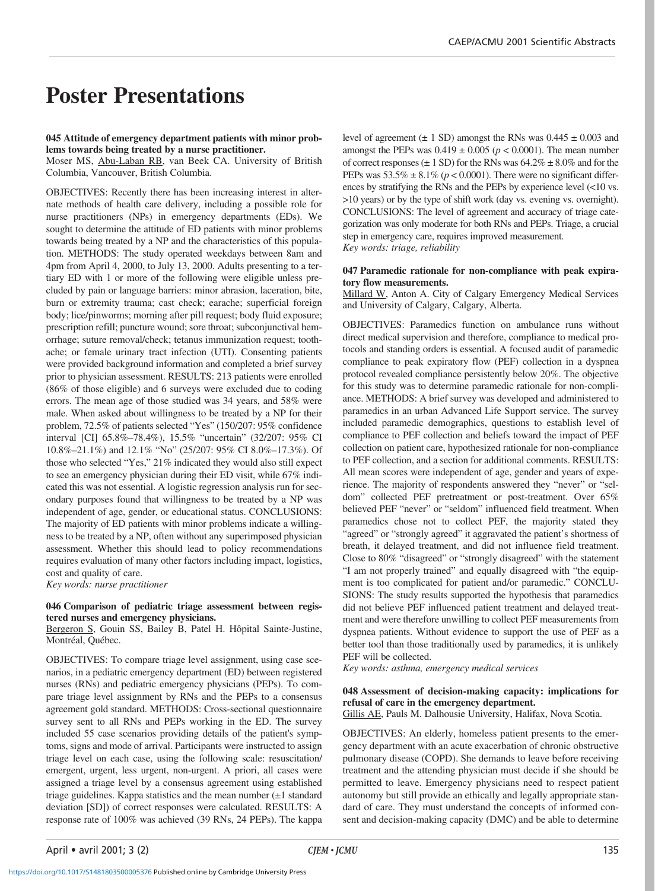# **Poster Presentations**

#### **045 Attitude of emergency department patients with minor problems towards being treated by a nurse practitioner.**

Moser MS, Abu-Laban RB, van Beek CA. University of British Columbia, Vancouver, British Columbia.

OBJECTIVES: Recently there has been increasing interest in alternate methods of health care delivery, including a possible role for nurse practitioners (NPs) in emergency departments (EDs). We sought to determine the attitude of ED patients with minor problems towards being treated by a NP and the characteristics of this population. METHODS: The study operated weekdays between 8am and 4pm from April 4, 2000, to July 13, 2000. Adults presenting to a tertiary ED with 1 or more of the following were eligible unless precluded by pain or language barriers: minor abrasion, laceration, bite, burn or extremity trauma; cast check; earache; superficial foreign body; lice/pinworms; morning after pill request; body fluid exposure; prescription refill; puncture wound; sore throat; subconjunctival hemorrhage; suture removal/check; tetanus immunization request; toothache; or female urinary tract infection (UTI). Consenting patients were provided background information and completed a brief survey prior to physician assessment. RESULTS: 213 patients were enrolled (86% of those eligible) and 6 surveys were excluded due to coding errors. The mean age of those studied was 34 years, and 58% were male. When asked about willingness to be treated by a NP for their problem, 72.5% of patients selected "Yes" (150/207: 95% confidence interval [CI] 65.8%–78.4%), 15.5% "uncertain" (32/207: 95% CI 10.8%–21.1%) and 12.1% "No" (25/207: 95% CI 8.0%–17.3%). Of those who selected "Yes," 21% indicated they would also still expect to see an emergency physician during their ED visit, while 67% indicated this was not essential. A logistic regression analysis run for secondary purposes found that willingness to be treated by a NP was independent of age, gender, or educational status. CONCLUSIONS: The majority of ED patients with minor problems indicate a willingness to be treated by a NP, often without any superimposed physician assessment. Whether this should lead to policy recommendations requires evaluation of many other factors including impact, logistics, cost and quality of care.

*Key words: nurse practitioner*

# **046 Comparison of pediatric triage assessment between registered nurses and emergency physicians.**

Bergeron S, Gouin SS, Bailey B, Patel H. Hôpital Sainte-Justine, Montréal, Québec.

OBJECTIVES: To compare triage level assignment, using case scenarios, in a pediatric emergency department (ED) between registered nurses (RNs) and pediatric emergency physicians (PEPs). To compare triage level assignment by RNs and the PEPs to a consensus agreement gold standard. METHODS: Cross-sectional questionnaire survey sent to all RNs and PEPs working in the ED. The survey included 55 case scenarios providing details of the patient's symptoms, signs and mode of arrival. Participants were instructed to assign triage level on each case, using the following scale: resuscitation/ emergent, urgent, less urgent, non-urgent. A priori, all cases were assigned a triage level by a consensus agreement using established triage guidelines. Kappa statistics and the mean number  $(\pm 1)$  standard deviation [SD]) of correct responses were calculated. RESULTS: A response rate of 100% was achieved (39 RNs, 24 PEPs). The kappa

level of agreement  $(\pm 1 \text{ SD})$  amongst the RNs was  $0.445 \pm 0.003$  and amongst the PEPs was  $0.419 \pm 0.005$  ( $p < 0.0001$ ). The mean number of correct responses ( $\pm$  1 SD) for the RNs was 64.2%  $\pm$  8.0% and for the PEPs was  $53.5\% \pm 8.1\%$  ( $p < 0.0001$ ). There were no significant differences by stratifying the RNs and the PEPs by experience level (<10 vs. >10 years) or by the type of shift work (day vs. evening vs. overnight). CONCLUSIONS: The level of agreement and accuracy of triage categorization was only moderate for both RNs and PEPs. Triage, a crucial step in emergency care, requires improved measurement. *Key words: triage, reliability*

# **047 Paramedic rationale for non-compliance with peak expiratory flow measurements.**

Millard W, Anton A. City of Calgary Emergency Medical Services and University of Calgary, Calgary, Alberta.

OBJECTIVES: Paramedics function on ambulance runs without direct medical supervision and therefore, compliance to medical protocols and standing orders is essential. A focused audit of paramedic compliance to peak expiratory flow (PEF) collection in a dyspnea protocol revealed compliance persistently below 20%. The objective for this study was to determine paramedic rationale for non-compliance. METHODS: A brief survey was developed and administered to paramedics in an urban Advanced Life Support service. The survey included paramedic demographics, questions to establish level of compliance to PEF collection and beliefs toward the impact of PEF collection on patient care, hypothesized rationale for non-compliance to PEF collection, and a section for additional comments. RESULTS: All mean scores were independent of age, gender and years of experience. The majority of respondents answered they "never" or "seldom" collected PEF pretreatment or post-treatment. Over 65% believed PEF "never" or "seldom" influenced field treatment. When paramedics chose not to collect PEF, the majority stated they "agreed" or "strongly agreed" it aggravated the patient's shortness of breath, it delayed treatment, and did not influence field treatment. Close to 80% "disagreed" or "strongly disagreed" with the statement "I am not properly trained" and equally disagreed with "the equipment is too complicated for patient and/or paramedic." CONCLU-SIONS: The study results supported the hypothesis that paramedics did not believe PEF influenced patient treatment and delayed treatment and were therefore unwilling to collect PEF measurements from dyspnea patients. Without evidence to support the use of PEF as a better tool than those traditionally used by paramedics, it is unlikely PEF will be collected.

*Key words: asthma, emergency medical services*

# **048 Assessment of decision-making capacity: implications for refusal of care in the emergency department.**

Gillis AE, Pauls M. Dalhousie University, Halifax, Nova Scotia.

OBJECTIVES: An elderly, homeless patient presents to the emergency department with an acute exacerbation of chronic obstructive pulmonary disease (COPD). She demands to leave before receiving treatment and the attending physician must decide if she should be permitted to leave. Emergency physicians need to respect patient autonomy but still provide an ethically and legally appropriate standard of care. They must understand the concepts of informed consent and decision-making capacity (DMC) and be able to determine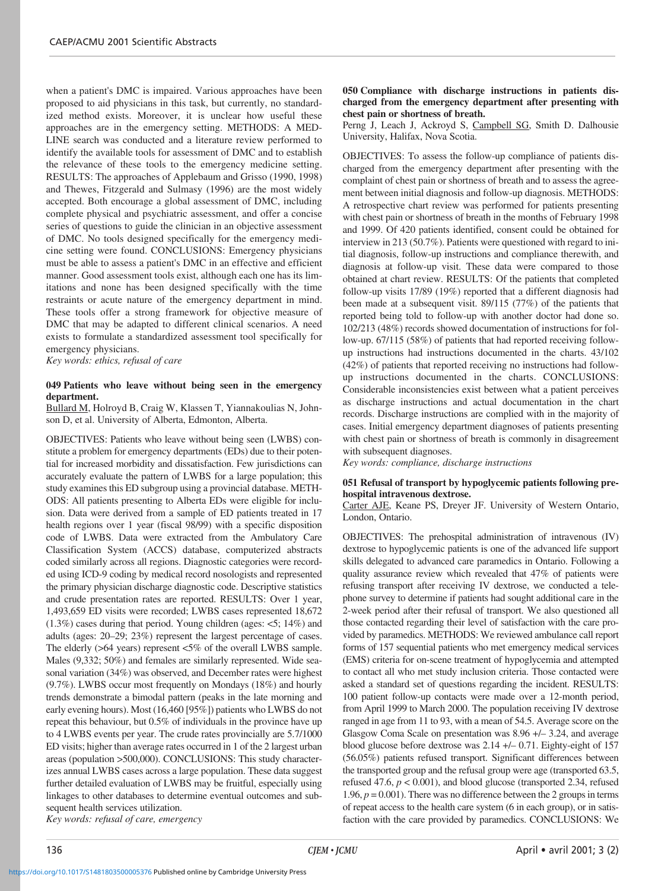when a patient's DMC is impaired. Various approaches have been proposed to aid physicians in this task, but currently, no standardized method exists. Moreover, it is unclear how useful these approaches are in the emergency setting. METHODS: A MED-LINE search was conducted and a literature review performed to identify the available tools for assessment of DMC and to establish the relevance of these tools to the emergency medicine setting. RESULTS: The approaches of Applebaum and Grisso (1990, 1998) and Thewes, Fitzgerald and Sulmasy (1996) are the most widely accepted. Both encourage a global assessment of DMC, including complete physical and psychiatric assessment, and offer a concise series of questions to guide the clinician in an objective assessment of DMC. No tools designed specifically for the emergency medicine setting were found. CONCLUSIONS: Emergency physicians must be able to assess a patient's DMC in an effective and efficient manner. Good assessment tools exist, although each one has its limitations and none has been designed specifically with the time restraints or acute nature of the emergency department in mind. These tools offer a strong framework for objective measure of DMC that may be adapted to different clinical scenarios. A need exists to formulate a standardized assessment tool specifically for emergency physicians.

*Key words: ethics, refusal of care*

# **049 Patients who leave without being seen in the emergency department.**

Bullard M, Holroyd B, Craig W, Klassen T, Yiannakoulias N, Johnson D, et al. University of Alberta, Edmonton, Alberta.

OBJECTIVES: Patients who leave without being seen (LWBS) constitute a problem for emergency departments (EDs) due to their potential for increased morbidity and dissatisfaction. Few jurisdictions can accurately evaluate the pattern of LWBS for a large population; this study examines this ED subgroup using a provincial database. METH-ODS: All patients presenting to Alberta EDs were eligible for inclusion. Data were derived from a sample of ED patients treated in 17 health regions over 1 year (fiscal 98/99) with a specific disposition code of LWBS. Data were extracted from the Ambulatory Care Classification System (ACCS) database, computerized abstracts coded similarly across all regions. Diagnostic categories were recorded using ICD-9 coding by medical record nosologists and represented the primary physician discharge diagnostic code. Descriptive statistics and crude presentation rates are reported. RESULTS: Over 1 year, 1,493,659 ED visits were recorded; LWBS cases represented 18,672 (1.3%) cases during that period. Young children (ages: <5; 14%) and adults (ages: 20–29; 23%) represent the largest percentage of cases. The elderly (>64 years) represent <5% of the overall LWBS sample. Males (9,332; 50%) and females are similarly represented. Wide seasonal variation (34%) was observed, and December rates were highest (9.7%). LWBS occur most frequently on Mondays (18%) and hourly trends demonstrate a bimodal pattern (peaks in the late morning and early evening hours). Most (16,460 [95%]) patients who LWBS do not repeat this behaviour, but 0.5% of individuals in the province have up to 4 LWBS events per year. The crude rates provincially are 5.7/1000 ED visits; higher than average rates occurred in 1 of the 2 largest urban areas (population >500,000). CONCLUSIONS: This study characterizes annual LWBS cases across a large population. These data suggest further detailed evaluation of LWBS may be fruitful, especially using linkages to other databases to determine eventual outcomes and subsequent health services utilization. *Key words: refusal of care, emergency*

**050 Compliance with discharge instructions in patients discharged from the emergency department after presenting with chest pain or shortness of breath.**

Perng J, Leach J, Ackroyd S, Campbell SG, Smith D. Dalhousie University, Halifax, Nova Scotia.

OBJECTIVES: To assess the follow-up compliance of patients discharged from the emergency department after presenting with the complaint of chest pain or shortness of breath and to assess the agreement between initial diagnosis and follow-up diagnosis. METHODS: A retrospective chart review was performed for patients presenting with chest pain or shortness of breath in the months of February 1998 and 1999. Of 420 patients identified, consent could be obtained for interview in 213 (50.7%). Patients were questioned with regard to initial diagnosis, follow-up instructions and compliance therewith, and diagnosis at follow-up visit. These data were compared to those obtained at chart review. RESULTS: Of the patients that completed follow-up visits 17/89 (19%) reported that a different diagnosis had been made at a subsequent visit. 89/115 (77%) of the patients that reported being told to follow-up with another doctor had done so. 102/213 (48%) records showed documentation of instructions for follow-up. 67/115 (58%) of patients that had reported receiving followup instructions had instructions documented in the charts. 43/102 (42%) of patients that reported receiving no instructions had followup instructions documented in the charts. CONCLUSIONS: Considerable inconsistencies exist between what a patient perceives as discharge instructions and actual documentation in the chart records. Discharge instructions are complied with in the majority of cases. Initial emergency department diagnoses of patients presenting with chest pain or shortness of breath is commonly in disagreement with subsequent diagnoses.

*Key words: compliance, discharge instructions*

# **051 Refusal of transport by hypoglycemic patients following prehospital intravenous dextrose.**

Carter AJE, Keane PS, Dreyer JF. University of Western Ontario, London, Ontario.

OBJECTIVES: The prehospital administration of intravenous (IV) dextrose to hypoglycemic patients is one of the advanced life support skills delegated to advanced care paramedics in Ontario. Following a quality assurance review which revealed that 47% of patients were refusing transport after receiving IV dextrose, we conducted a telephone survey to determine if patients had sought additional care in the 2-week period after their refusal of transport. We also questioned all those contacted regarding their level of satisfaction with the care provided by paramedics. METHODS: We reviewed ambulance call report forms of 157 sequential patients who met emergency medical services (EMS) criteria for on-scene treatment of hypoglycemia and attempted to contact all who met study inclusion criteria. Those contacted were asked a standard set of questions regarding the incident. RESULTS: 100 patient follow-up contacts were made over a 12-month period, from April 1999 to March 2000. The population receiving IV dextrose ranged in age from 11 to 93, with a mean of 54.5. Average score on the Glasgow Coma Scale on presentation was 8.96 +/– 3.24, and average blood glucose before dextrose was 2.14 +/– 0.71. Eighty-eight of 157 (56.05%) patients refused transport. Significant differences between the transported group and the refusal group were age (transported 63.5, refused 47.6,  $p < 0.001$ ), and blood glucose (transported 2.34, refused 1.96,  $p = 0.001$ ). There was no difference between the 2 groups in terms of repeat access to the health care system (6 in each group), or in satisfaction with the care provided by paramedics. CONCLUSIONS: We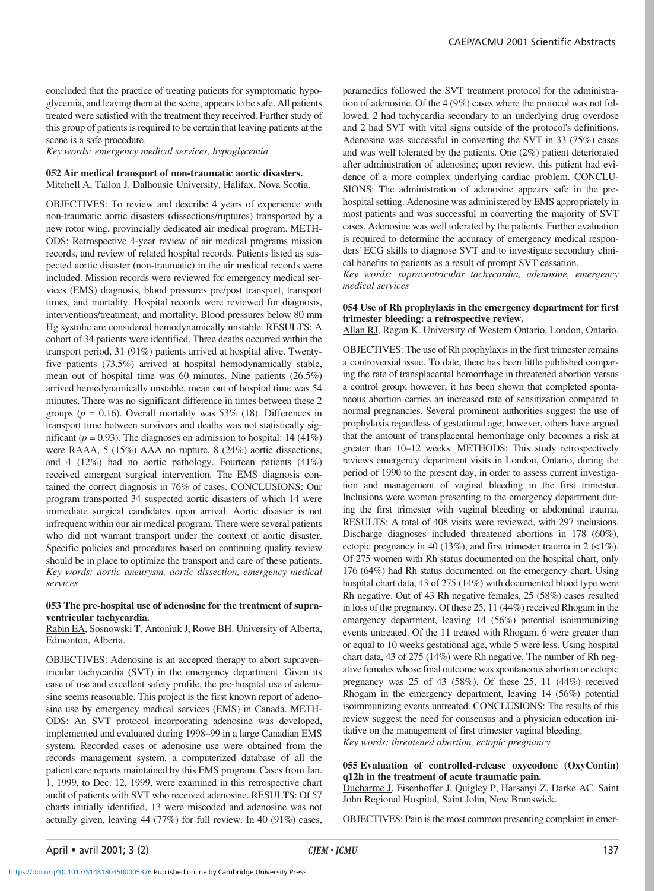concluded that the practice of treating patients for symptomatic hypoglycemia, and leaving them at the scene, appears to be safe. All patients treated were satisfied with the treatment they received. Further study of this group of patients is required to be certain that leaving patients at the scene is a safe procedure.

*Key words: emergency medical services, hypoglycemia*

# **052 Air medical transport of non-traumatic aortic disasters.**

Mitchell A, Tallon J. Dalhousie University, Halifax, Nova Scotia.

OBJECTIVES: To review and describe 4 years of experience with non-traumatic aortic disasters (dissections/ruptures) transported by a new rotor wing, provincially dedicated air medical program. METH-ODS: Retrospective 4-year review of air medical programs mission records, and review of related hospital records. Patients listed as suspected aortic disaster (non-traumatic) in the air medical records were included. Mission records were reviewed for emergency medical services (EMS) diagnosis, blood pressures pre/post transport, transport times, and mortality. Hospital records were reviewed for diagnosis, interventions/treatment, and mortality. Blood pressures below 80 mm Hg systolic are considered hemodynamically unstable. RESULTS: A cohort of 34 patients were identified. Three deaths occurred within the transport period, 31 (91%) patients arrived at hospital alive. Twentyfive patients (73.5%) arrived at hospital hemodynamically stable, mean out of hospital time was 60 minutes. Nine patients (26.5%) arrived hemodynamically unstable, mean out of hospital time was 54 minutes. There was no significant difference in times between these 2 groups ( $p = 0.16$ ). Overall mortality was 53% (18). Differences in transport time between survivors and deaths was not statistically significant ( $p = 0.93$ ). The diagnoses on admission to hospital: 14 (41%) were RAAA, 5 (15%) AAA no rupture, 8 (24%) aortic dissections, and 4 (12%) had no aortic pathology. Fourteen patients (41%) received emergent surgical intervention. The EMS diagnosis contained the correct diagnosis in 76% of cases. CONCLUSIONS: Our program transported 34 suspected aortic disasters of which 14 were immediate surgical candidates upon arrival. Aortic disaster is not infrequent within our air medical program. There were several patients who did not warrant transport under the context of aortic disaster. Specific policies and procedures based on continuing quality review should be in place to optimize the transport and care of these patients. *Key words: aortic aneurysm, aortic dissection, emergency medical services*

#### **053 The pre-hospital use of adenosine for the treatment of supraventricular tachycardia.**

Rabin EA, Sosnowski T, Antoniuk J, Rowe BH. University of Alberta, Edmonton, Alberta.

OBJECTIVES: Adenosine is an accepted therapy to abort supraventricular tachycardia (SVT) in the emergency department. Given its ease of use and excellent safety profile, the pre-hospital use of adenosine seems reasonable. This project is the first known report of adenosine use by emergency medical services (EMS) in Canada. METH-ODS: An SVT protocol incorporating adenosine was developed, implemented and evaluated during 1998–99 in a large Canadian EMS system. Recorded cases of adenosine use were obtained from the records management system, a computerized database of all the patient care reports maintained by this EMS program. Cases from Jan. 1, 1999, to Dec. 12, 1999, were examined in this retrospective chart audit of patients with SVT who received adenosine. RESULTS: Of 57 charts initially identified, 13 were miscoded and adenosine was not actually given, leaving 44 (77%) for full review. In 40 (91%) cases,

paramedics followed the SVT treatment protocol for the administration of adenosine. Of the 4 (9%) cases where the protocol was not followed, 2 had tachycardia secondary to an underlying drug overdose and 2 had SVT with vital signs outside of the protocol's definitions. Adenosine was successful in converting the SVT in 33 (75%) cases and was well tolerated by the patients. One (2%) patient deteriorated after administration of adenosine; upon review, this patient had evidence of a more complex underlying cardiac problem. CONCLU-SIONS: The administration of adenosine appears safe in the prehospital setting. Adenosine was administered by EMS appropriately in most patients and was successful in converting the majority of SVT cases. Adenosine was well tolerated by the patients. Further evaluation is required to determine the accuracy of emergency medical responders' ECG skills to diagnose SVT and to investigate secondary clinical benefits to patients as a result of prompt SVT cessation.

*Key words: supraventricular tachycardia, adenosine, emergency medical services*

# **054 Use of Rh prophylaxis in the emergency department for first trimester bleeding: a retrospective review.**

Allan RJ, Regan K. University of Western Ontario, London, Ontario.

OBJECTIVES: The use of Rh prophylaxis in the first trimester remains a controversial issue. To date, there has been little published comparing the rate of transplacental hemorrhage in threatened abortion versus a control group; however, it has been shown that completed spontaneous abortion carries an increased rate of sensitization compared to normal pregnancies. Several prominent authorities suggest the use of prophylaxis regardless of gestational age; however, others have argued that the amount of transplacental hemorrhage only becomes a risk at greater than 10–12 weeks. METHODS: This study retrospectively reviews emergency department visits in London, Ontario, during the period of 1990 to the present day, in order to assess current investigation and management of vaginal bleeding in the first trimester. Inclusions were women presenting to the emergency department during the first trimester with vaginal bleeding or abdominal trauma. RESULTS: A total of 408 visits were reviewed, with 297 inclusions. Discharge diagnoses included threatened abortions in 178 (60%), ectopic pregnancy in 40 (13%), and first trimester trauma in 2 (<1%). Of 275 women with Rh status documented on the hospital chart, only 176 (64%) had Rh status documented on the emergency chart. Using hospital chart data, 43 of 275 (14%) with documented blood type were Rh negative. Out of 43 Rh negative females, 25 (58%) cases resulted in loss of the pregnancy. Of these 25, 11 (44%) received Rhogam in the emergency department, leaving 14 (56%) potential isoimmunizing events untreated. Of the 11 treated with Rhogam, 6 were greater than or equal to 10 weeks gestational age, while 5 were less. Using hospital chart data, 43 of 275 (14%) were Rh negative. The number of Rh negative females whose final outcome was spontaneous abortion or ectopic pregnancy was 25 of 43 (58%). Of these 25, 11 (44%) received Rhogam in the emergency department, leaving 14 (56%) potential isoimmunizing events untreated. CONCLUSIONS: The results of this review suggest the need for consensus and a physician education initiative on the management of first trimester vaginal bleeding. *Key words: threatened abortion, ectopic pregnancy*

# **055 Evaluation of controlled-release oxycodone (OxyContin) q12h in the treatment of acute traumatic pain.**

Ducharme J, Eisenhoffer J, Quigley P, Harsanyi Z, Darke AC. Saint John Regional Hospital, Saint John, New Brunswick.

OBJECTIVES: Pain is the most common presenting complaint in emer-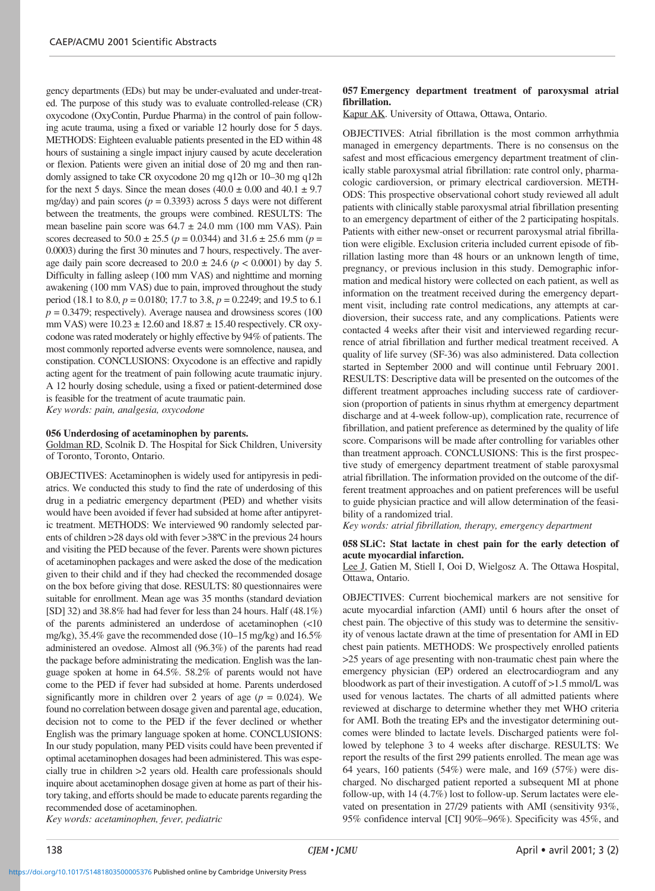gency departments (EDs) but may be under-evaluated and under-treated. The purpose of this study was to evaluate controlled-release (CR) oxycodone (OxyContin, Purdue Pharma) in the control of pain following acute trauma, using a fixed or variable 12 hourly dose for 5 days. METHODS: Eighteen evaluable patients presented in the ED within 48 hours of sustaining a single impact injury caused by acute deceleration or flexion. Patients were given an initial dose of 20 mg and then randomly assigned to take CR oxycodone 20 mg q12h or 10–30 mg q12h for the next 5 days. Since the mean doses  $(40.0 \pm 0.00$  and  $40.1 \pm 9.7$ mg/day) and pain scores ( $p = 0.3393$ ) across 5 days were not different between the treatments, the groups were combined. RESULTS: The mean baseline pain score was  $64.7 \pm 24.0$  mm (100 mm VAS). Pain scores decreased to  $50.0 \pm 25.5$  ( $p = 0.0344$ ) and  $31.6 \pm 25.6$  mm ( $p =$ 0.0003) during the first 30 minutes and 7 hours, respectively. The average daily pain score decreased to  $20.0 \pm 24.6$  ( $p < 0.0001$ ) by day 5. Difficulty in falling asleep (100 mm VAS) and nighttime and morning awakening (100 mm VAS) due to pain, improved throughout the study period (18.1 to 8.0, *p* = 0.0180; 17.7 to 3.8, *p* = 0.2249; and 19.5 to 6.1  $p = 0.3479$ ; respectively). Average nausea and drowsiness scores (100) mm VAS) were 10.23 ± 12.60 and 18.87 ± 15.40 respectively. CR oxycodone was rated moderately or highly effective by 94% of patients. The most commonly reported adverse events were somnolence, nausea, and constipation. CONCLUSIONS: Oxycodone is an effective and rapidly acting agent for the treatment of pain following acute traumatic injury. A 12 hourly dosing schedule, using a fixed or patient-determined dose is feasible for the treatment of acute traumatic pain. *Key words: pain, analgesia, oxycodone*

# **056 Underdosing of acetaminophen by parents.**

Goldman RD, Scolnik D. The Hospital for Sick Children, University of Toronto, Toronto, Ontario.

OBJECTIVES: Acetaminophen is widely used for antipyresis in pediatrics. We conducted this study to find the rate of underdosing of this drug in a pediatric emergency department (PED) and whether visits would have been avoided if fever had subsided at home after antipyretic treatment. METHODS: We interviewed 90 randomly selected parents of children >28 days old with fever >38ºC in the previous 24 hours and visiting the PED because of the fever. Parents were shown pictures of acetaminophen packages and were asked the dose of the medication given to their child and if they had checked the recommended dosage on the box before giving that dose. RESULTS: 80 questionnaires were suitable for enrollment. Mean age was 35 months (standard deviation [SD] 32) and 38.8% had had fever for less than 24 hours. Half (48.1%) of the parents administered an underdose of acetaminophen (<10 mg/kg), 35.4% gave the recommended dose (10–15 mg/kg) and 16.5% administered an ovedose. Almost all (96.3%) of the parents had read the package before administrating the medication. English was the language spoken at home in 64.5%. 58.2% of parents would not have come to the PED if fever had subsided at home. Parents underdosed significantly more in children over 2 years of age  $(p = 0.024)$ . We found no correlation between dosage given and parental age, education, decision not to come to the PED if the fever declined or whether English was the primary language spoken at home. CONCLUSIONS: In our study population, many PED visits could have been prevented if optimal acetaminophen dosages had been administered. This was especially true in children >2 years old. Health care professionals should inquire about acetaminophen dosage given at home as part of their history taking, and efforts should be made to educate parents regarding the recommended dose of acetaminophen.

#### **057 Emergency department treatment of paroxysmal atrial fibrillation.**

Kapur AK. University of Ottawa, Ottawa, Ontario.

OBJECTIVES: Atrial fibrillation is the most common arrhythmia managed in emergency departments. There is no consensus on the safest and most efficacious emergency department treatment of clinically stable paroxysmal atrial fibrillation: rate control only, pharmacologic cardioversion, or primary electrical cardioversion. METH-ODS: This prospective observational cohort study reviewed all adult patients with clinically stable paroxysmal atrial fibrillation presenting to an emergency department of either of the 2 participating hospitals. Patients with either new-onset or recurrent paroxysmal atrial fibrillation were eligible. Exclusion criteria included current episode of fibrillation lasting more than 48 hours or an unknown length of time, pregnancy, or previous inclusion in this study. Demographic information and medical history were collected on each patient, as well as information on the treatment received during the emergency department visit, including rate control medications, any attempts at cardioversion, their success rate, and any complications. Patients were contacted 4 weeks after their visit and interviewed regarding recurrence of atrial fibrillation and further medical treatment received. A quality of life survey (SF-36) was also administered. Data collection started in September 2000 and will continue until February 2001. RESULTS: Descriptive data will be presented on the outcomes of the different treatment approaches including success rate of cardioversion (proportion of patients in sinus rhythm at emergency department discharge and at 4-week follow-up), complication rate, recurrence of fibrillation, and patient preference as determined by the quality of life score. Comparisons will be made after controlling for variables other than treatment approach. CONCLUSIONS: This is the first prospective study of emergency department treatment of stable paroxysmal atrial fibrillation. The information provided on the outcome of the different treatment approaches and on patient preferences will be useful to guide physician practice and will allow determination of the feasibility of a randomized trial.

*Key words: atrial fibrillation, therapy, emergency department*

# **058 SLiC: Stat lactate in chest pain for the early detection of acute myocardial infarction.**

Lee J, Gatien M, Stiell I, Ooi D, Wielgosz A. The Ottawa Hospital, Ottawa, Ontario.

OBJECTIVES: Current biochemical markers are not sensitive for acute myocardial infarction (AMI) until 6 hours after the onset of chest pain. The objective of this study was to determine the sensitivity of venous lactate drawn at the time of presentation for AMI in ED chest pain patients. METHODS: We prospectively enrolled patients >25 years of age presenting with non-traumatic chest pain where the emergency physician (EP) ordered an electrocardiogram and any bloodwork as part of their investigation. A cutoff of >1.5 mmol/L was used for venous lactates. The charts of all admitted patients where reviewed at discharge to determine whether they met WHO criteria for AMI. Both the treating EPs and the investigator determining outcomes were blinded to lactate levels. Discharged patients were followed by telephone 3 to 4 weeks after discharge. RESULTS: We report the results of the first 299 patients enrolled. The mean age was 64 years, 160 patients (54%) were male, and 169 (57%) were discharged. No discharged patient reported a subsequent MI at phone follow-up, with 14 (4.7%) lost to follow-up. Serum lactates were elevated on presentation in 27/29 patients with AMI (sensitivity 93%, 95% confidence interval [CI] 90%–96%). Specificity was 45%, and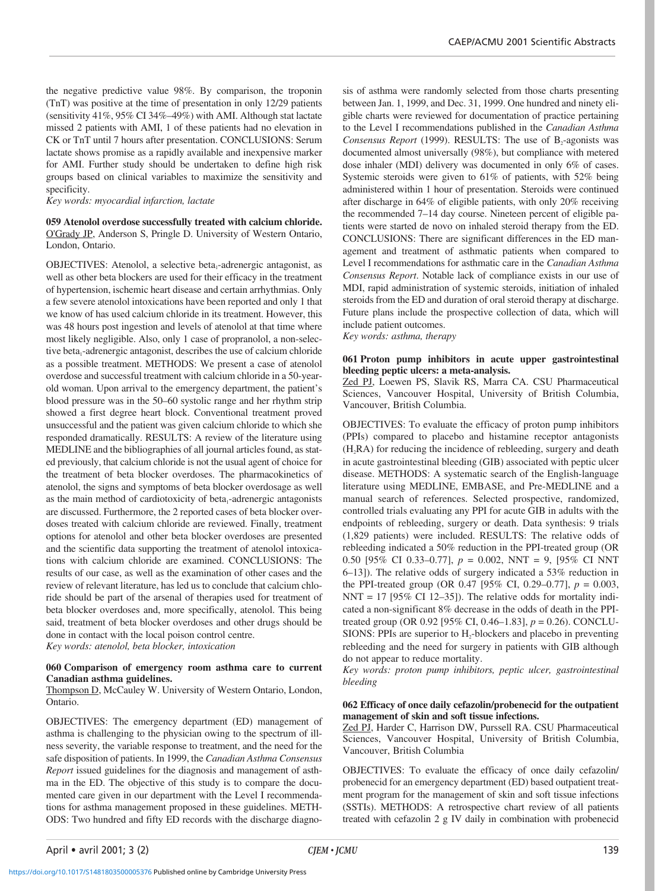the negative predictive value 98%. By comparison, the troponin (TnT) was positive at the time of presentation in only 12/29 patients (sensitivity 41%, 95% CI 34%–49%) with AMI. Although stat lactate missed 2 patients with AMI, 1 of these patients had no elevation in CK or TnT until 7 hours after presentation. CONCLUSIONS: Serum lactate shows promise as a rapidly available and inexpensive marker for AMI. Further study should be undertaken to define high risk groups based on clinical variables to maximize the sensitivity and specificity.

*Key words: myocardial infarction, lactate*

**059 Atenolol overdose successfully treated with calcium chloride.** O'Grady JP, Anderson S, Pringle D. University of Western Ontario, London, Ontario.

OBJECTIVES: Atenolol, a selective beta<sub>1</sub>-adrenergic antagonist, as well as other beta blockers are used for their efficacy in the treatment of hypertension, ischemic heart disease and certain arrhythmias. Only a few severe atenolol intoxications have been reported and only 1 that we know of has used calcium chloride in its treatment. However, this was 48 hours post ingestion and levels of atenolol at that time where most likely negligible. Also, only 1 case of propranolol, a non-selective beta<sub>1</sub>-adrenergic antagonist, describes the use of calcium chloride as a possible treatment. METHODS: We present a case of atenolol overdose and successful treatment with calcium chloride in a 50-yearold woman. Upon arrival to the emergency department, the patient's blood pressure was in the 50–60 systolic range and her rhythm strip showed a first degree heart block. Conventional treatment proved unsuccessful and the patient was given calcium chloride to which she responded dramatically. RESULTS: A review of the literature using MEDLINE and the bibliographies of all journal articles found, as stated previously, that calcium chloride is not the usual agent of choice for the treatment of beta blocker overdoses. The pharmacokinetics of atenolol, the signs and symptoms of beta blocker overdosage as well as the main method of cardiotoxicity of beta<sub> $1$ </sub>-adrenergic antagonists are discussed. Furthermore, the 2 reported cases of beta blocker overdoses treated with calcium chloride are reviewed. Finally, treatment options for atenolol and other beta blocker overdoses are presented and the scientific data supporting the treatment of atenolol intoxications with calcium chloride are examined. CONCLUSIONS: The results of our case, as well as the examination of other cases and the review of relevant literature, has led us to conclude that calcium chloride should be part of the arsenal of therapies used for treatment of beta blocker overdoses and, more specifically, atenolol. This being said, treatment of beta blocker overdoses and other drugs should be done in contact with the local poison control centre.

*Key words: atenolol, beta blocker, intoxication*

# **060 Comparison of emergency room asthma care to current Canadian asthma guidelines.**

Thompson D, McCauley W. University of Western Ontario, London, Ontario.

OBJECTIVES: The emergency department (ED) management of asthma is challenging to the physician owing to the spectrum of illness severity, the variable response to treatment, and the need for the safe disposition of patients. In 1999, the *Canadian Asthma Consensus Report* issued guidelines for the diagnosis and management of asthma in the ED. The objective of this study is to compare the documented care given in our department with the Level I recommendations for asthma management proposed in these guidelines. METH-ODS: Two hundred and fifty ED records with the discharge diagno-

sis of asthma were randomly selected from those charts presenting between Jan. 1, 1999, and Dec. 31, 1999. One hundred and ninety eligible charts were reviewed for documentation of practice pertaining to the Level I recommendations published in the *Canadian Asthma* Consensus Report (1999). RESULTS: The use of B<sub>2</sub>-agonists was documented almost universally (98%), but compliance with metered dose inhaler (MDI) delivery was documented in only 6% of cases. Systemic steroids were given to 61% of patients, with 52% being administered within 1 hour of presentation. Steroids were continued after discharge in 64% of eligible patients, with only 20% receiving the recommended 7–14 day course. Nineteen percent of eligible patients were started de novo on inhaled steroid therapy from the ED. CONCLUSIONS: There are significant differences in the ED management and treatment of asthmatic patients when compared to Level I recommendations for asthmatic care in the *Canadian Asthma Consensus Report*. Notable lack of compliance exists in our use of MDI, rapid administration of systemic steroids, initiation of inhaled steroids from the ED and duration of oral steroid therapy at discharge. Future plans include the prospective collection of data, which will include patient outcomes.

*Key words: asthma, therapy*

# **061 Proton pump inhibitors in acute upper gastrointestinal bleeding peptic ulcers: a meta-analysis.**

Zed PJ, Loewen PS, Slavik RS, Marra CA. CSU Pharmaceutical Sciences, Vancouver Hospital, University of British Columbia, Vancouver, British Columbia.

OBJECTIVES: To evaluate the efficacy of proton pump inhibitors (PPIs) compared to placebo and histamine receptor antagonists  $(H_2RA)$  for reducing the incidence of rebleeding, surgery and death in acute gastrointestinal bleeding (GIB) associated with peptic ulcer disease. METHODS: A systematic search of the English-language literature using MEDLINE, EMBASE, and Pre-MEDLINE and a manual search of references. Selected prospective, randomized, controlled trials evaluating any PPI for acute GIB in adults with the endpoints of rebleeding, surgery or death. Data synthesis: 9 trials (1,829 patients) were included. RESULTS: The relative odds of rebleeding indicated a 50% reduction in the PPI-treated group (OR 0.50 [95% CI 0.33–0.77], *p* = 0.002, NNT = 9, [95% CI NNT 6–13]). The relative odds of surgery indicated a 53% reduction in the PPI-treated group (OR 0.47 [95% CI, 0.29–0.77], *p* = 0.003,  $NNT = 17$  [95% CI 12–35]). The relative odds for mortality indicated a non-significant 8% decrease in the odds of death in the PPItreated group (OR 0.92 [95% CI, 0.46–1.83], *p* = 0.26). CONCLU-SIONS: PPIs are superior to  $H_2$ -blockers and placebo in preventing rebleeding and the need for surgery in patients with GIB although do not appear to reduce mortality.

*Key words: proton pump inhibitors, peptic ulcer, gastrointestinal bleeding*

#### **062 Efficacy of once daily cefazolin/probenecid for the outpatient management of skin and soft tissue infections.**

Zed PJ, Harder C, Harrison DW, Purssell RA. CSU Pharmaceutical Sciences, Vancouver Hospital, University of British Columbia, Vancouver, British Columbia

OBJECTIVES: To evaluate the efficacy of once daily cefazolin/ probenecid for an emergency department (ED) based outpatient treatment program for the management of skin and soft tissue infections (SSTIs). METHODS: A retrospective chart review of all patients treated with cefazolin 2 g IV daily in combination with probenecid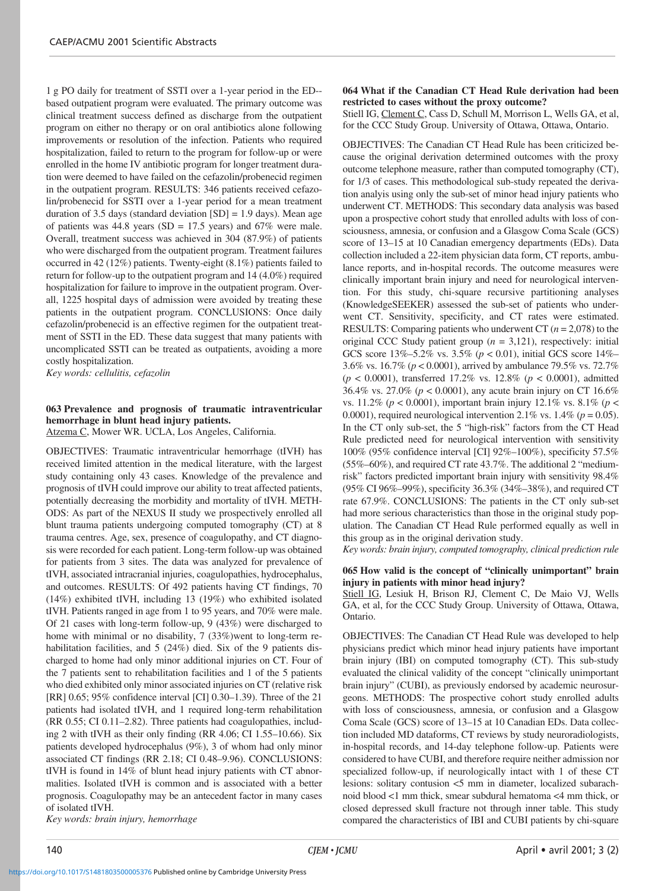1 g PO daily for treatment of SSTI over a 1-year period in the ED- based outpatient program were evaluated. The primary outcome was clinical treatment success defined as discharge from the outpatient program on either no therapy or on oral antibiotics alone following improvements or resolution of the infection. Patients who required hospitalization, failed to return to the program for follow-up or were enrolled in the home IV antibiotic program for longer treatment duration were deemed to have failed on the cefazolin/probenecid regimen in the outpatient program. RESULTS: 346 patients received cefazolin/probenecid for SSTI over a 1-year period for a mean treatment duration of 3.5 days (standard deviation  $[SD] = 1.9$  days). Mean age of patients was 44.8 years (SD = 17.5 years) and  $67\%$  were male. Overall, treatment success was achieved in 304 (87.9%) of patients who were discharged from the outpatient program. Treatment failures occurred in 42 (12%) patients. Twenty-eight (8.1%) patients failed to return for follow-up to the outpatient program and 14 (4.0%) required hospitalization for failure to improve in the outpatient program. Overall, 1225 hospital days of admission were avoided by treating these patients in the outpatient program. CONCLUSIONS: Once daily cefazolin/probenecid is an effective regimen for the outpatient treatment of SSTI in the ED. These data suggest that many patients with uncomplicated SSTI can be treated as outpatients, avoiding a more costly hospitalization.

*Key words: cellulitis, cefazolin*

#### **063 Prevalence and prognosis of traumatic intraventricular hemorrhage in blunt head injury patients.** Atzema C, Mower WR. UCLA, Los Angeles, California.

OBJECTIVES: Traumatic intraventricular hemorrhage (tIVH) has received limited attention in the medical literature, with the largest study containing only 43 cases. Knowledge of the prevalence and prognosis of tIVH could improve our ability to treat affected patients, potentially decreasing the morbidity and mortality of tIVH. METH-ODS: As part of the NEXUS II study we prospectively enrolled all blunt trauma patients undergoing computed tomography (CT) at 8 trauma centres. Age, sex, presence of coagulopathy, and CT diagnosis were recorded for each patient. Long-term follow-up was obtained for patients from 3 sites. The data was analyzed for prevalence of tIVH, associated intracranial injuries, coagulopathies, hydrocephalus, and outcomes. RESULTS: Of 492 patients having CT findings, 70 (14%) exhibited tIVH, including 13 (19%) who exhibited isolated tIVH. Patients ranged in age from 1 to 95 years, and 70% were male. Of 21 cases with long-term follow-up, 9 (43%) were discharged to home with minimal or no disability, 7 (33%)went to long-term rehabilitation facilities, and 5 (24%) died. Six of the 9 patients discharged to home had only minor additional injuries on CT. Four of the 7 patients sent to rehabilitation facilities and 1 of the 5 patients who died exhibited only minor associated injuries on CT (relative risk [RR] 0.65; 95% confidence interval [CI] 0.30–1.39). Three of the 21 patients had isolated tIVH, and 1 required long-term rehabilitation (RR 0.55; CI 0.11–2.82). Three patients had coagulopathies, including 2 with tIVH as their only finding (RR 4.06; CI 1.55–10.66). Six patients developed hydrocephalus (9%), 3 of whom had only minor associated CT findings (RR 2.18; CI 0.48–9.96). CONCLUSIONS: tIVH is found in 14% of blunt head injury patients with CT abnormalities. Isolated tIVH is common and is associated with a better prognosis. Coagulopathy may be an antecedent factor in many cases of isolated tIVH.

*Key words: brain injury, hemorrhage*

# **064 What if the Canadian CT Head Rule derivation had been restricted to cases without the proxy outcome?**

Stiell IG, Clement C, Cass D, Schull M, Morrison L, Wells GA, et al, for the CCC Study Group. University of Ottawa, Ottawa, Ontario.

OBJECTIVES: The Canadian CT Head Rule has been criticized because the original derivation determined outcomes with the proxy outcome telephone measure, rather than computed tomography (CT), for 1/3 of cases. This methodological sub-study repeated the derivation analyis using only the sub-set of minor head injury patients who underwent CT. METHODS: This secondary data analysis was based upon a prospective cohort study that enrolled adults with loss of consciousness, amnesia, or confusion and a Glasgow Coma Scale (GCS) score of 13–15 at 10 Canadian emergency departments (EDs). Data collection included a 22-item physician data form, CT reports, ambulance reports, and in-hospital records. The outcome measures were clinically important brain injury and need for neurological intervention. For this study, chi-square recursive partitioning analyses (KnowledgeSEEKER) assessed the sub-set of patients who underwent CT. Sensitivity, specificity, and CT rates were estimated. RESULTS: Comparing patients who underwent CT (*n* = 2,078) to the original CCC Study patient group  $(n = 3,121)$ , respectively: initial GCS score 13%–5.2% vs. 3.5% (*p* < 0.01), initial GCS score 14%– 3.6% vs. 16.7% (*p* < 0.0001), arrived by ambulance 79.5% vs. 72.7% (*p* < 0.0001), transferred 17.2% vs. 12.8% (*p* < 0.0001), admitted 36.4% vs. 27.0% (*p* < 0.0001), any acute brain injury on CT 16.6% vs. 11.2% (*p* < 0.0001), important brain injury 12.1% vs. 8.1% (*p* < 0.0001), required neurological intervention 2.1% vs.  $1.4\%$  ( $p = 0.05$ ). In the CT only sub-set, the 5 "high-risk" factors from the CT Head Rule predicted need for neurological intervention with sensitivity 100% (95% confidence interval [CI] 92%–100%), specificity 57.5% (55%–60%), and required CT rate 43.7%. The additional 2 "mediumrisk" factors predicted important brain injury with sensitivity 98.4% (95% CI 96%–99%), specificity 36.3% (34%–38%), and required CT rate 67.9%. CONCLUSIONS: The patients in the CT only sub-set had more serious characteristics than those in the original study population. The Canadian CT Head Rule performed equally as well in this group as in the original derivation study.

*Key words: brain injury, computed tomography, clinical prediction rule*

# **065 How valid is the concept of "clinically unimportant" brain injury in patients with minor head injury?**

Stiell IG, Lesiuk H, Brison RJ, Clement C, De Maio VJ, Wells GA, et al, for the CCC Study Group. University of Ottawa, Ottawa, Ontario.

OBJECTIVES: The Canadian CT Head Rule was developed to help physicians predict which minor head injury patients have important brain injury (IBI) on computed tomography (CT). This sub-study evaluated the clinical validity of the concept "clinically unimportant brain injury" (CUBI), as previously endorsed by academic neurosurgeons. METHODS: The prospective cohort study enrolled adults with loss of consciousness, amnesia, or confusion and a Glasgow Coma Scale (GCS) score of 13–15 at 10 Canadian EDs. Data collection included MD dataforms, CT reviews by study neuroradiologists, in-hospital records, and 14-day telephone follow-up. Patients were considered to have CUBI, and therefore require neither admission nor specialized follow-up, if neurologically intact with 1 of these CT lesions: solitary contusion <5 mm in diameter, localized subarachnoid blood <1 mm thick, smear subdural hematoma <4 mm thick, or closed depressed skull fracture not through inner table. This study compared the characteristics of IBI and CUBI patients by chi-square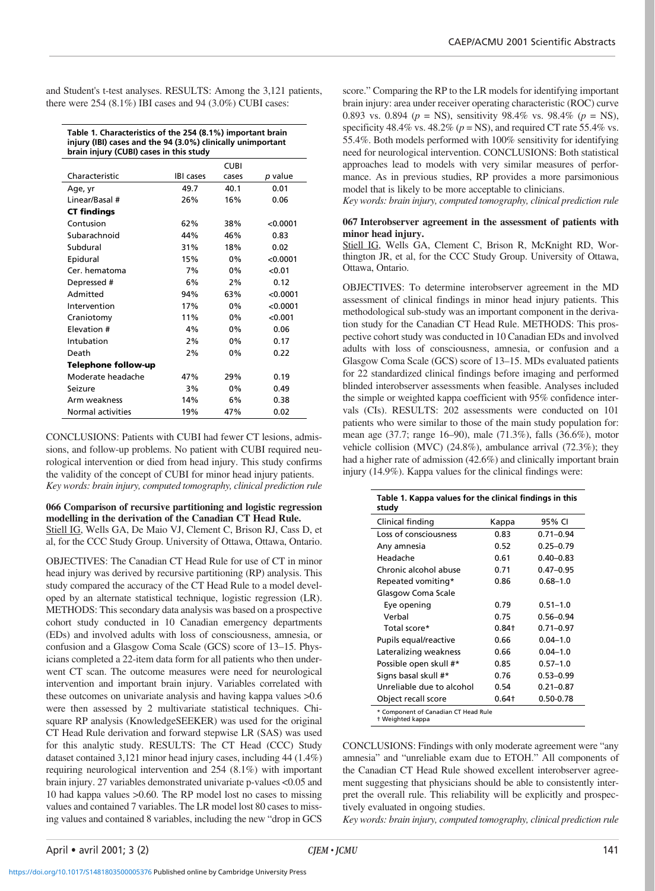and Student's t-test analyses. RESULTS: Among the 3,121 patients, there were 254 (8.1%) IBI cases and 94 (3.0%) CUBI cases:

**Table 1. Characteristics of the 254 (8.1%) important brain injury (IBI) cases and the 94 (3.0%) clinically unimportant brain injury (CUBI) cases in this study**

|                          |                  | <b>CUBI</b> |          |
|--------------------------|------------------|-------------|----------|
| Characteristic           | <b>IBI</b> cases | cases       | p value  |
| Age, yr                  | 49.7             | 40.1        | 0.01     |
| Linear/Basal #           | 26%              | 16%         | 0.06     |
| <b>CT findings</b>       |                  |             |          |
| Contusion                | 62%              | 38%         | < 0.0001 |
| Subarachnoid             | 44%              | 46%         | 0.83     |
| Subdural                 | 31%              | 18%         | 0.02     |
| Epidural                 | 15%              | 0%          | < 0.0001 |
| Cer. hematoma            | 7%               | 0%          | < 0.01   |
| Depressed #              | 6%               | 2%          | 0.12     |
| Admitted                 | 94%              | 63%         | < 0.0001 |
| Intervention             | 17%              | 0%          | < 0.0001 |
| Craniotomy               | 11%              | $0\%$       | < 0.001  |
| Elevation #              | 4%               | $0\%$       | 0.06     |
| Intubation               | 2%               | 0%          | 0.17     |
| Death                    | 2%               | $0\%$       | 0.22     |
| Telephone follow-up      |                  |             |          |
| Moderate headache        | 47%              | 29%         | 0.19     |
| Seizure                  | 3%               | 0%          | 0.49     |
| Arm weakness             | 14%              | 6%          | 0.38     |
| <b>Normal activities</b> | 19%              | 47%         | 0.02     |

CONCLUSIONS: Patients with CUBI had fewer CT lesions, admissions, and follow-up problems. No patient with CUBI required neurological intervention or died from head injury. This study confirms the validity of the concept of CUBI for minor head injury patients. *Key words: brain injury, computed tomography, clinical prediction rule*

**066 Comparison of recursive partitioning and logistic regression modelling in the derivation of the Canadian CT Head Rule.** Stiell IG, Wells GA, De Maio VJ, Clement C, Brison RJ, Cass D, et al, for the CCC Study Group. University of Ottawa, Ottawa, Ontario.

OBJECTIVES: The Canadian CT Head Rule for use of CT in minor head injury was derived by recursive partitioning (RP) analysis. This study compared the accuracy of the CT Head Rule to a model developed by an alternate statistical technique, logistic regression (LR). METHODS: This secondary data analysis was based on a prospective cohort study conducted in 10 Canadian emergency departments (EDs) and involved adults with loss of consciousness, amnesia, or confusion and a Glasgow Coma Scale (GCS) score of 13–15. Physicians completed a 22-item data form for all patients who then underwent CT scan. The outcome measures were need for neurological intervention and important brain injury. Variables correlated with these outcomes on univariate analysis and having kappa values >0.6 were then assessed by 2 multivariate statistical techniques. Chisquare RP analysis (KnowledgeSEEKER) was used for the original CT Head Rule derivation and forward stepwise LR (SAS) was used for this analytic study. RESULTS: The CT Head (CCC) Study dataset contained 3,121 minor head injury cases, including 44 (1.4%) requiring neurological intervention and 254 (8.1%) with important brain injury. 27 variables demonstrated univariate p-values <0.05 and 10 had kappa values >0.60. The RP model lost no cases to missing values and contained 7 variables. The LR model lost 80 cases to missing values and contained 8 variables, including the new "drop in GCS

score." Comparing the RP to the LR models for identifying important brain injury: area under receiver operating characteristic (ROC) curve 0.893 vs. 0.894 (*p* = NS), sensitivity 98.4% vs. 98.4% (*p* = NS), specificity 48.4% vs. 48.2% ( $p = NS$ ), and required CT rate 55.4% vs. 55.4%. Both models performed with 100% sensitivity for identifying need for neurological intervention. CONCLUSIONS: Both statistical approaches lead to models with very similar measures of performance. As in previous studies, RP provides a more parsimonious model that is likely to be more acceptable to clinicians.

*Key words: brain injury, computed tomography, clinical prediction rule*

#### **067 Interobserver agreement in the assessment of patients with minor head injury.**

Stiell IG, Wells GA, Clement C, Brison R, McKnight RD, Worthington JR, et al, for the CCC Study Group. University of Ottawa, Ottawa, Ontario.

OBJECTIVES: To determine interobserver agreement in the MD assessment of clinical findings in minor head injury patients. This methodological sub-study was an important component in the derivation study for the Canadian CT Head Rule. METHODS: This prospective cohort study was conducted in 10 Canadian EDs and involved adults with loss of consciousness, amnesia, or confusion and a Glasgow Coma Scale (GCS) score of 13–15. MDs evaluated patients for 22 standardized clinical findings before imaging and performed blinded interobserver assessments when feasible. Analyses included the simple or weighted kappa coefficient with 95% confidence intervals (CIs). RESULTS: 202 assessments were conducted on 101 patients who were similar to those of the main study population for: mean age (37.7; range 16–90), male (71.3%), falls (36.6%), motor vehicle collision (MVC) (24.8%), ambulance arrival (72.3%); they had a higher rate of admission (42.6%) and clinically important brain injury (14.9%). Kappa values for the clinical findings were:

| Table 1. Kappa values for the clinical findings in this<br>study |          |               |  |  |
|------------------------------------------------------------------|----------|---------------|--|--|
| Clinical finding                                                 | Kappa    | 95% CI        |  |  |
| Loss of consciousness                                            | 0.83     | $0.71 - 0.94$ |  |  |
| Any amnesia                                                      | 0.52     | $0.25 - 0.79$ |  |  |
| Headache                                                         | 0.61     | $0.40 - 0.83$ |  |  |
| Chronic alcohol abuse                                            | 0.71     | $0.47 - 0.95$ |  |  |
| Repeated vomiting*                                               | 0.86     | $0.68 - 1.0$  |  |  |
| Glasgow Coma Scale                                               |          |               |  |  |
| Eye opening                                                      | 0.79     | $0.51 - 1.0$  |  |  |
| Verbal                                                           | 0.75     | $0.56 - 0.94$ |  |  |
| Total score*                                                     | $0.84 +$ | $0.71 - 0.97$ |  |  |
| Pupils equal/reactive                                            | 0.66     | $0.04 - 1.0$  |  |  |
| Lateralizing weakness                                            | 0.66     | $0.04 - 1.0$  |  |  |
| Possible open skull #*                                           | 0.85     | $0.57 - 1.0$  |  |  |
| Signs basal skull #*                                             | 0.76     | $0.53 - 0.99$ |  |  |
| Unreliable due to alcohol                                        | 0.54     | $0.21 - 0.87$ |  |  |
| Object recall score                                              | $0.64 +$ | $0.50 - 0.78$ |  |  |
| * Component of Canadian CT Head Rule<br>t Weighted kappa         |          |               |  |  |

CONCLUSIONS: Findings with only moderate agreement were "any amnesia" and "unreliable exam due to ETOH." All components of the Canadian CT Head Rule showed excellent interobserver agreement suggesting that physicians should be able to consistently interpret the overall rule. This reliability will be explicitly and prospectively evaluated in ongoing studies.

*Key words: brain injury, computed tomography, clinical prediction rule*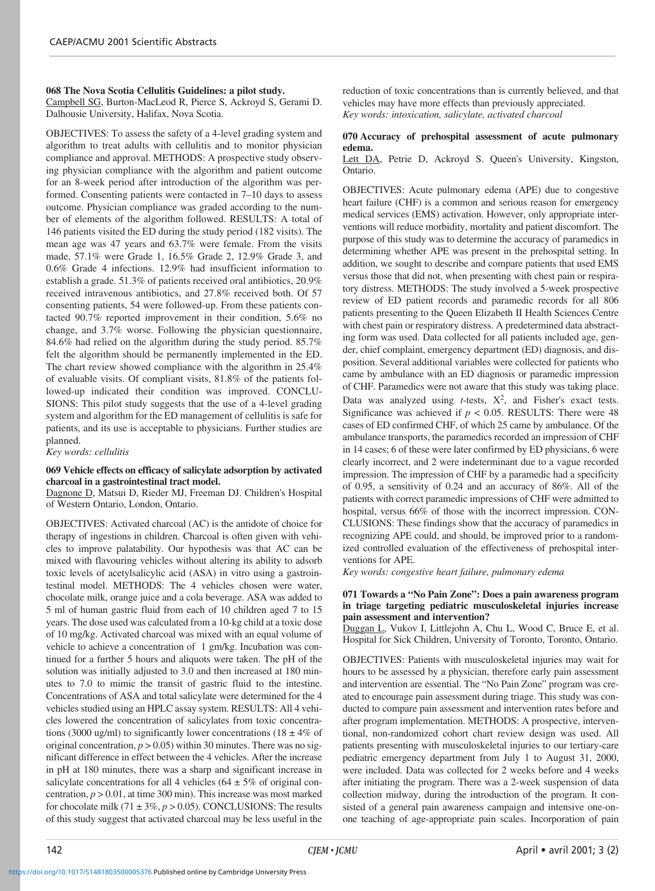**068 The Nova Scotia Cellulitis Guidelines: a pilot study.** Campbell SG, Burton-MacLeod R, Pierce S, Ackroyd S, Gerami D. Dalhousie University, Halifax, Nova Scotia.

OBJECTIVES: To assess the safety of a 4-level grading system and algorithm to treat adults with cellulitis and to monitor physician compliance and approval. METHODS: A prospective study observing physician compliance with the algorithm and patient outcome for an 8-week period after introduction of the algorithm was performed. Consenting patients were contacted in 7–10 days to assess outcome. Physician compliance was graded according to the number of elements of the algorithm followed. RESULTS: A total of 146 patients visited the ED during the study period (182 visits). The mean age was 47 years and 63.7% were female. From the visits made, 57.1% were Grade 1, 16.5% Grade 2, 12.9% Grade 3, and 0.6% Grade 4 infections. 12.9% had insufficient information to establish a grade. 51.3% of patients received oral antibiotics, 20.9% received intravenous antibiotics, and 27.8% received both. Of 57 consenting patients, 54 were followed-up. From these patients contacted 90.7% reported improvement in their condition, 5.6% no change, and 3.7% worse. Following the physician questionnaire, 84.6% had relied on the algorithm during the study period. 85.7% felt the algorithm should be permanently implemented in the ED. The chart review showed compliance with the algorithm in 25.4% of evaluable visits. Of compliant visits, 81.8% of the patients followed-up indicated their condition was improved. CONCLU-SIONS: This pilot study suggests that the use of a 4-level grading system and algorithm for the ED management of cellulitis is safe for patients, and its use is acceptable to physicians. Further studies are planned.

*Key words: cellulitis*

# **069 Vehicle effects on efficacy of salicylate adsorption by activated charcoal in a gastrointestinal tract model.**

Dagnone D, Matsui D, Rieder MJ, Freeman DJ. Children's Hospital of Western Ontario, London, Ontario.

OBJECTIVES: Activated charcoal (AC) is the antidote of choice for therapy of ingestions in children. Charcoal is often given with vehicles to improve palatability. Our hypothesis was that AC can be mixed with flavouring vehicles without altering its ability to adsorb toxic levels of acetylsalicylic acid (ASA) in vitro using a gastrointestinal model. METHODS: The 4 vehicles chosen were water, chocolate milk, orange juice and a cola beverage. ASA was added to 5 ml of human gastric fluid from each of 10 children aged 7 to 15 years. The dose used was calculated from a 10-kg child at a toxic dose of 10 mg/kg. Activated charcoal was mixed with an equal volume of vehicle to achieve a concentration of 1 gm/kg. Incubation was continued for a further 5 hours and aliquots were taken. The pH of the solution was initially adjusted to 3.0 and then increased at 180 minutes to 7.0 to mimic the transit of gastric fluid to the intestine. Concentrations of ASA and total salicylate were determined for the 4 vehicles studied using an HPLC assay system. RESULTS: All 4 vehicles lowered the concentration of salicylates from toxic concentrations (3000 ug/ml) to significantly lower concentrations (18  $\pm$  4% of original concentration,  $p > 0.05$ ) within 30 minutes. There was no significant difference in effect between the 4 vehicles. After the increase in pH at 180 minutes, there was a sharp and significant increase in salicylate concentrations for all 4 vehicles ( $64 \pm 5\%$  of original concentration, *p* > 0.01, at time 300 min). This increase was most marked for chocolate milk  $(71 \pm 3\%, p > 0.05)$ . CONCLUSIONS: The results of this study suggest that activated charcoal may be less useful in the

reduction of toxic concentrations than is currently believed, and that vehicles may have more effects than previously appreciated. *Key words: intoxication, salicylate, activated charcoal*

# **070 Accuracy of prehospital assessment of acute pulmonary edema.**

Lett DA, Petrie D, Ackroyd S. Queen's University, Kingston, Ontario.

OBJECTIVES: Acute pulmonary edema (APE) due to congestive heart failure (CHF) is a common and serious reason for emergency medical services (EMS) activation. However, only appropriate interventions will reduce morbidity, mortality and patient discomfort. The purpose of this study was to determine the accuracy of paramedics in determining whether APE was present in the prehospital setting. In addition, we sought to describe and compare patients that used EMS versus those that did not, when presenting with chest pain or respiratory distress. METHODS: The study involved a 5-week prospective review of ED patient records and paramedic records for all 806 patients presenting to the Queen Elizabeth II Health Sciences Centre with chest pain or respiratory distress. A predetermined data abstracting form was used. Data collected for all patients included age, gender, chief complaint, emergency department (ED) diagnosis, and disposition. Several additional variables were collected for patients who came by ambulance with an ED diagnosis or paramedic impression of CHF. Paramedics were not aware that this study was taking place. Data was analyzed using  $t$ -tests,  $X^2$ , and Fisher's exact tests. Significance was achieved if  $p < 0.05$ . RESULTS: There were 48 cases of ED confirmed CHF, of which 25 came by ambulance. Of the ambulance transports, the paramedics recorded an impression of CHF in 14 cases; 6 of these were later confirmed by ED physicians, 6 were clearly incorrect, and 2 were indeterminant due to a vague recorded impression. The impression of CHF by a paramedic had a specificity of 0.95, a sensitivity of 0.24 and an accuracy of 86%. All of the patients with correct paramedic impressions of CHF were admitted to hospital, versus 66% of those with the incorrect impression. CON-CLUSIONS: These findings show that the accuracy of paramedics in recognizing APE could, and should, be improved prior to a randomized controlled evaluation of the effectiveness of prehospital interventions for APE.

*Key words: congestive heart failure, pulmonary edema*

# **071 Towards a "No Pain Zone": Does a pain awareness program in triage targeting pediatric musculoskeletal injuries increase pain assessment and intervention?**

Duggan L, Vukov I, Littlejohn A, Chu L, Wood C, Bruce E, et al. Hospital for Sick Children, University of Toronto, Toronto, Ontario.

OBJECTIVES: Patients with musculoskeletal injuries may wait for hours to be assessed by a physician, therefore early pain assessment and intervention are essential. The "No Pain Zone" program was created to encourage pain assessment during triage. This study was conducted to compare pain assessment and intervention rates before and after program implementation. METHODS: A prospective, interventional, non-randomized cohort chart review design was used. All patients presenting with musculoskeletal injuries to our tertiary-care pediatric emergency department from July 1 to August 31, 2000, were included. Data was collected for 2 weeks before and 4 weeks after initiating the program. There was a 2-week suspension of data collection midway, during the introduction of the program. It consisted of a general pain awareness campaign and intensive one-onone teaching of age-appropriate pain scales. Incorporation of pain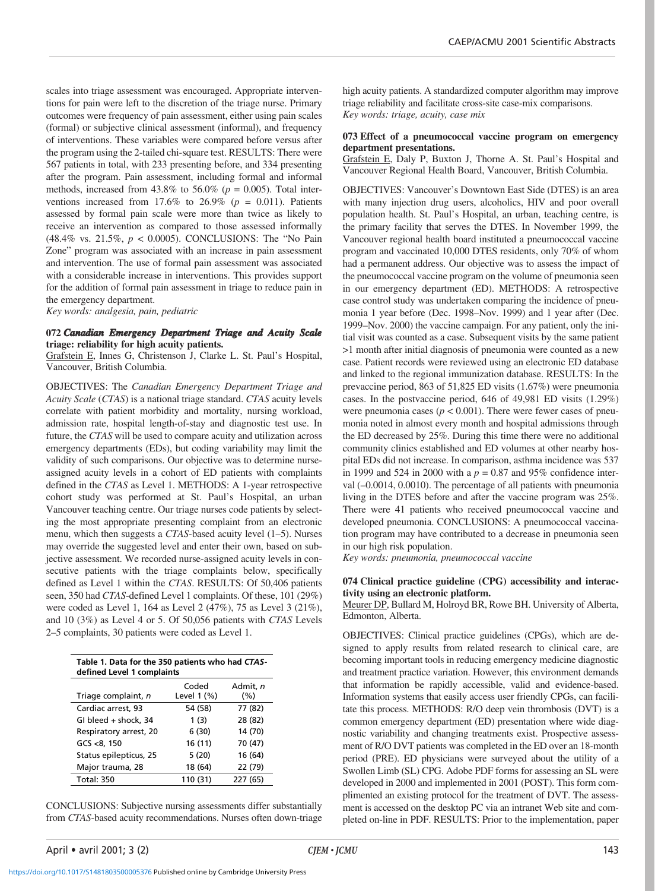scales into triage assessment was encouraged. Appropriate interventions for pain were left to the discretion of the triage nurse. Primary outcomes were frequency of pain assessment, either using pain scales (formal) or subjective clinical assessment (informal), and frequency of interventions. These variables were compared before versus after the program using the 2-tailed chi-square test. RESULTS: There were 567 patients in total, with 233 presenting before, and 334 presenting after the program. Pain assessment, including formal and informal methods, increased from  $43.8\%$  to  $56.0\%$  ( $p = 0.005$ ). Total interventions increased from  $17.6\%$  to  $26.9\%$  ( $p = 0.011$ ). Patients assessed by formal pain scale were more than twice as likely to receive an intervention as compared to those assessed informally (48.4% vs. 21.5%, *p* < 0.0005). CONCLUSIONS: The "No Pain Zone" program was associated with an increase in pain assessment and intervention. The use of formal pain assessment was associated with a considerable increase in interventions. This provides support for the addition of formal pain assessment in triage to reduce pain in the emergency department.

*Key words: analgesia, pain, pediatric*

#### **072** *Canadian Emergency Department Triage and Acuity Scale* **triage: reliability for high acuity patients.**

Grafstein E, Innes G, Christenson J, Clarke L. St. Paul's Hospital, Vancouver, British Columbia.

OBJECTIVES: The *Canadian Emergency Department Triage and Acuity Scale* (*CTAS*) is a national triage standard. *CTAS* acuity levels correlate with patient morbidity and mortality, nursing workload, admission rate, hospital length-of-stay and diagnostic test use. In future, the *CTAS* will be used to compare acuity and utilization across emergency departments (EDs), but coding variability may limit the validity of such comparisons. Our objective was to determine nurseassigned acuity levels in a cohort of ED patients with complaints defined in the *CTAS* as Level 1. METHODS: A 1-year retrospective cohort study was performed at St. Paul's Hospital, an urban Vancouver teaching centre. Our triage nurses code patients by selecting the most appropriate presenting complaint from an electronic menu, which then suggests a *CTAS*-based acuity level (1–5). Nurses may override the suggested level and enter their own, based on subjective assessment. We recorded nurse-assigned acuity levels in consecutive patients with the triage complaints below, specifically defined as Level 1 within the *CTAS*. RESULTS: Of 50,406 patients seen, 350 had *CTAS*-defined Level 1 complaints. Of these, 101 (29%) were coded as Level 1, 164 as Level 2 (47%), 75 as Level 3 (21%), and 10 (3%) as Level 4 or 5. Of 50,056 patients with *CTAS* Levels 2–5 complaints, 30 patients were coded as Level 1.

| Table 1. Data for the 350 patients who had CTAS-<br>defined Level 1 complaints |                      |                     |  |  |
|--------------------------------------------------------------------------------|----------------------|---------------------|--|--|
| Triage complaint, n                                                            | Coded<br>Level 1 (%) | Admit, n<br>$(\% )$ |  |  |
| Cardiac arrest, 93                                                             | 54 (58)              | 77 (82)             |  |  |
| GI bleed + shock, 34                                                           | 1(3)                 | 28 (82)             |  |  |
| Respiratory arrest, 20                                                         | 6(30)                | 14 (70)             |  |  |
| GCS < 8, 150                                                                   | 16 (11)              | 70 (47)             |  |  |
| Status epilepticus, 25                                                         | 5(20)                | 16 (64)             |  |  |
| Major trauma, 28                                                               | 18 (64)              | 22 (79)             |  |  |
| <b>Total: 350</b>                                                              | 110 (31)             | 227 (65)            |  |  |

CONCLUSIONS: Subjective nursing assessments differ substantially from *CTAS*-based acuity recommendations. Nurses often down-triage high acuity patients. A standardized computer algorithm may improve triage reliability and facilitate cross-site case-mix comparisons. *Key words: triage, acuity, case mix*

#### **073 Effect of a pneumococcal vaccine program on emergency department presentations.**

Grafstein E, Daly P, Buxton J, Thorne A. St. Paul's Hospital and Vancouver Regional Health Board, Vancouver, British Columbia.

OBJECTIVES: Vancouver's Downtown East Side (DTES) is an area with many injection drug users, alcoholics, HIV and poor overall population health. St. Paul's Hospital, an urban, teaching centre, is the primary facility that serves the DTES. In November 1999, the Vancouver regional health board instituted a pneumococcal vaccine program and vaccinated 10,000 DTES residents, only 70% of whom had a permanent address. Our objective was to assess the impact of the pneumococcal vaccine program on the volume of pneumonia seen in our emergency department (ED). METHODS: A retrospective case control study was undertaken comparing the incidence of pneumonia 1 year before (Dec. 1998–Nov. 1999) and 1 year after (Dec. 1999–Nov. 2000) the vaccine campaign. For any patient, only the initial visit was counted as a case. Subsequent visits by the same patient >1 month after initial diagnosis of pneumonia were counted as a new case. Patient records were reviewed using an electronic ED database and linked to the regional immunization database. RESULTS: In the prevaccine period, 863 of 51,825 ED visits (1.67%) were pneumonia cases. In the postvaccine period, 646 of 49,981 ED visits (1.29%) were pneumonia cases  $(p < 0.001)$ . There were fewer cases of pneumonia noted in almost every month and hospital admissions through the ED decreased by 25%. During this time there were no additional community clinics established and ED volumes at other nearby hospital EDs did not increase. In comparison, asthma incidence was 537 in 1999 and 524 in 2000 with a  $p = 0.87$  and 95% confidence interval (–0.0014, 0.0010). The percentage of all patients with pneumonia living in the DTES before and after the vaccine program was 25%. There were 41 patients who received pneumococcal vaccine and developed pneumonia. CONCLUSIONS: A pneumococcal vaccination program may have contributed to a decrease in pneumonia seen in our high risk population.

*Key words: pneumonia, pneumococcal vaccine*

# **074 Clinical practice guideline (CPG) accessibility and interactivity using an electronic platform.**

Meurer DP, Bullard M, Holroyd BR, Rowe BH. University of Alberta, Edmonton, Alberta.

OBJECTIVES: Clinical practice guidelines (CPGs), which are designed to apply results from related research to clinical care, are becoming important tools in reducing emergency medicine diagnostic and treatment practice variation. However, this environment demands that information be rapidly accessible, valid and evidence-based. Information systems that easily access user friendly CPGs, can facilitate this process. METHODS: R/O deep vein thrombosis (DVT) is a common emergency department (ED) presentation where wide diagnostic variability and changing treatments exist. Prospective assessment of R/O DVT patients was completed in the ED over an 18-month period (PRE). ED physicians were surveyed about the utility of a Swollen Limb (SL) CPG. Adobe PDF forms for assessing an SL were developed in 2000 and implemented in 2001 (POST). This form complimented an existing protocol for the treatment of DVT. The assessment is accessed on the desktop PC via an intranet Web site and completed on-line in PDF. RESULTS: Prior to the implementation, paper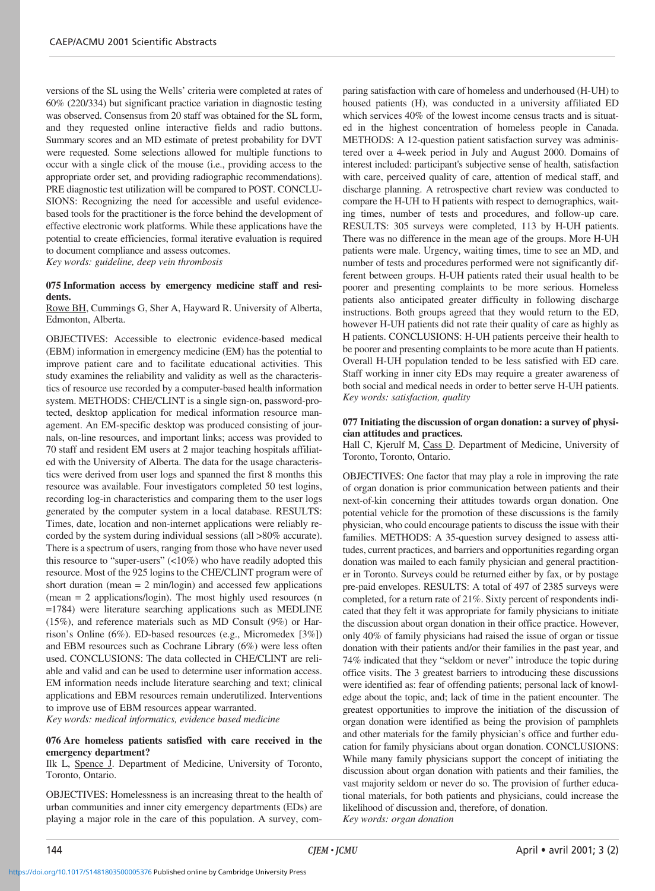versions of the SL using the Wells' criteria were completed at rates of 60% (220/334) but significant practice variation in diagnostic testing was observed. Consensus from 20 staff was obtained for the SL form, and they requested online interactive fields and radio buttons. Summary scores and an MD estimate of pretest probability for DVT were requested. Some selections allowed for multiple functions to occur with a single click of the mouse (i.e., providing access to the appropriate order set, and providing radiographic recommendations). PRE diagnostic test utilization will be compared to POST. CONCLU-SIONS: Recognizing the need for accessible and useful evidencebased tools for the practitioner is the force behind the development of effective electronic work platforms. While these applications have the potential to create efficiencies, formal iterative evaluation is required to document compliance and assess outcomes.

*Key words: guideline, deep vein thrombosis*

# **075 Information access by emergency medicine staff and residents.**

Rowe BH, Cummings G, Sher A, Hayward R. University of Alberta, Edmonton, Alberta.

OBJECTIVES: Accessible to electronic evidence-based medical (EBM) information in emergency medicine (EM) has the potential to improve patient care and to facilitate educational activities. This study examines the reliability and validity as well as the characteristics of resource use recorded by a computer-based health information system. METHODS: CHE/CLINT is a single sign-on, password-protected, desktop application for medical information resource management. An EM-specific desktop was produced consisting of journals, on-line resources, and important links; access was provided to 70 staff and resident EM users at 2 major teaching hospitals affiliated with the University of Alberta. The data for the usage characteristics were derived from user logs and spanned the first 8 months this resource was available. Four investigators completed 50 test logins, recording log-in characteristics and comparing them to the user logs generated by the computer system in a local database. RESULTS: Times, date, location and non-internet applications were reliably recorded by the system during individual sessions (all >80% accurate). There is a spectrum of users, ranging from those who have never used this resource to "super-users" (<10%) who have readily adopted this resource. Most of the 925 logins to the CHE/CLINT program were of short duration (mean  $= 2$  min/login) and accessed few applications (mean = 2 applications/login). The most highly used resources (n =1784) were literature searching applications such as MEDLINE (15%), and reference materials such as MD Consult (9%) or Harrison's Online (6%). ED-based resources (e.g., Micromedex [3%]) and EBM resources such as Cochrane Library (6%) were less often used. CONCLUSIONS: The data collected in CHE/CLINT are reliable and valid and can be used to determine user information access. EM information needs include literature searching and text; clinical applications and EBM resources remain underutilized. Interventions to improve use of EBM resources appear warranted.

*Key words: medical informatics, evidence based medicine*

# **076 Are homeless patients satisfied with care received in the emergency department?**

Ilk L, Spence J. Department of Medicine, University of Toronto, Toronto, Ontario.

OBJECTIVES: Homelessness is an increasing threat to the health of urban communities and inner city emergency departments (EDs) are playing a major role in the care of this population. A survey, com-

paring satisfaction with care of homeless and underhoused (H-UH) to housed patients (H), was conducted in a university affiliated ED which services 40% of the lowest income census tracts and is situated in the highest concentration of homeless people in Canada. METHODS: A 12-question patient satisfaction survey was administered over a 4-week period in July and August 2000. Domains of interest included: participant's subjective sense of health, satisfaction with care, perceived quality of care, attention of medical staff, and discharge planning. A retrospective chart review was conducted to compare the H-UH to H patients with respect to demographics, waiting times, number of tests and procedures, and follow-up care. RESULTS: 305 surveys were completed, 113 by H-UH patients. There was no difference in the mean age of the groups. More H-UH patients were male. Urgency, waiting times, time to see an MD, and number of tests and procedures performed were not significantly different between groups. H-UH patients rated their usual health to be poorer and presenting complaints to be more serious. Homeless patients also anticipated greater difficulty in following discharge instructions. Both groups agreed that they would return to the ED, however H-UH patients did not rate their quality of care as highly as H patients. CONCLUSIONS: H-UH patients perceive their health to be poorer and presenting complaints to be more acute than H patients. Overall H-UH population tended to be less satisfied with ED care. Staff working in inner city EDs may require a greater awareness of both social and medical needs in order to better serve H-UH patients. *Key words: satisfaction, quality*

# **077 Initiating the discussion of organ donation: a survey of physician attitudes and practices.**

Hall C, Kjerulf M, Cass D. Department of Medicine, University of Toronto, Toronto, Ontario.

OBJECTIVES: One factor that may play a role in improving the rate of organ donation is prior communication between patients and their next-of-kin concerning their attitudes towards organ donation. One potential vehicle for the promotion of these discussions is the family physician, who could encourage patients to discuss the issue with their families. METHODS: A 35-question survey designed to assess attitudes, current practices, and barriers and opportunities regarding organ donation was mailed to each family physician and general practitioner in Toronto. Surveys could be returned either by fax, or by postage pre-paid envelopes. RESULTS: A total of 497 of 2385 surveys were completed, for a return rate of 21%. Sixty percent of respondents indicated that they felt it was appropriate for family physicians to initiate the discussion about organ donation in their office practice. However, only 40% of family physicians had raised the issue of organ or tissue donation with their patients and/or their families in the past year, and 74% indicated that they "seldom or never" introduce the topic during office visits. The 3 greatest barriers to introducing these discussions were identified as: fear of offending patients; personal lack of knowledge about the topic, and; lack of time in the patient encounter. The greatest opportunities to improve the initiation of the discussion of organ donation were identified as being the provision of pamphlets and other materials for the family physician's office and further education for family physicians about organ donation. CONCLUSIONS: While many family physicians support the concept of initiating the discussion about organ donation with patients and their families, the vast majority seldom or never do so. The provision of further educational materials, for both patients and physicians, could increase the likelihood of discussion and, therefore, of donation. *Key words: organ donation*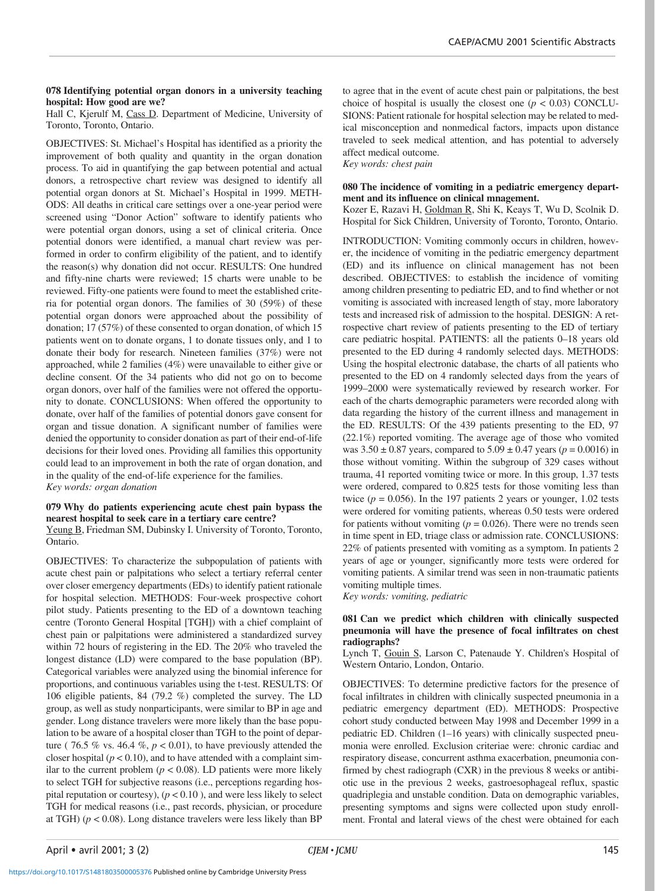# **078 Identifying potential organ donors in a university teaching hospital: How good are we?**

Hall C, Kjerulf M, Cass D. Department of Medicine, University of Toronto, Toronto, Ontario.

OBJECTIVES: St. Michael's Hospital has identified as a priority the improvement of both quality and quantity in the organ donation process. To aid in quantifying the gap between potential and actual donors, a retrospective chart review was designed to identify all potential organ donors at St. Michael's Hospital in 1999. METH-ODS: All deaths in critical care settings over a one-year period were screened using "Donor Action" software to identify patients who were potential organ donors, using a set of clinical criteria. Once potential donors were identified, a manual chart review was performed in order to confirm eligibility of the patient, and to identify the reason(s) why donation did not occur. RESULTS: One hundred and fifty-nine charts were reviewed; 15 charts were unable to be reviewed. Fifty-one patients were found to meet the established criteria for potential organ donors. The families of 30 (59%) of these potential organ donors were approached about the possibility of donation; 17 (57%) of these consented to organ donation, of which 15 patients went on to donate organs, 1 to donate tissues only, and 1 to donate their body for research. Nineteen families (37%) were not approached, while 2 families (4%) were unavailable to either give or decline consent. Of the 34 patients who did not go on to become organ donors, over half of the families were not offered the opportunity to donate. CONCLUSIONS: When offered the opportunity to donate, over half of the families of potential donors gave consent for organ and tissue donation. A significant number of families were denied the opportunity to consider donation as part of their end-of-life decisions for their loved ones. Providing all families this opportunity could lead to an improvement in both the rate of organ donation, and in the quality of the end-of-life experience for the families. *Key words: organ donation*

# **079 Why do patients experiencing acute chest pain bypass the nearest hospital to seek care in a tertiary care centre?**

Yeung B, Friedman SM, Dubinsky I. University of Toronto, Toronto, Ontario.

OBJECTIVES: To characterize the subpopulation of patients with acute chest pain or palpitations who select a tertiary referral center over closer emergency departments (EDs) to identify patient rationale for hospital selection. METHODS: Four-week prospective cohort pilot study. Patients presenting to the ED of a downtown teaching centre (Toronto General Hospital [TGH]) with a chief complaint of chest pain or palpitations were administered a standardized survey within 72 hours of registering in the ED. The 20% who traveled the longest distance (LD) were compared to the base population (BP). Categorical variables were analyzed using the binomial inference for proportions, and continuous variables using the t-test. RESULTS: Of 106 eligible patients, 84 (79.2 %) completed the survey. The LD group, as well as study nonparticipants, were similar to BP in age and gender. Long distance travelers were more likely than the base population to be aware of a hospital closer than TGH to the point of departure (  $76.5\%$  vs. 46.4 %,  $p < 0.01$ ), to have previously attended the closer hospital ( $p < 0.10$ ), and to have attended with a complaint similar to the current problem ( $p < 0.08$ ). LD patients were more likely to select TGH for subjective reasons (i.e., perceptions regarding hospital reputation or courtesy),  $(p < 0.10)$ , and were less likely to select TGH for medical reasons (i.e., past records, physician, or procedure at TGH)  $(p < 0.08)$ . Long distance travelers were less likely than BP

to agree that in the event of acute chest pain or palpitations, the best choice of hospital is usually the closest one  $(p < 0.03)$  CONCLU-SIONS: Patient rationale for hospital selection may be related to medical misconception and nonmedical factors, impacts upon distance traveled to seek medical attention, and has potential to adversely affect medical outcome. *Key words: chest pain*

# **080 The incidence of vomiting in a pediatric emergency department and its influence on clinical mnagement.**

Kozer E, Razavi H, Goldman R, Shi K, Keays T, Wu D, Scolnik D. Hospital for Sick Children, University of Toronto, Toronto, Ontario.

INTRODUCTION: Vomiting commonly occurs in children, however, the incidence of vomiting in the pediatric emergency department (ED) and its influence on clinical management has not been described. OBJECTIVES: to establish the incidence of vomiting among children presenting to pediatric ED, and to find whether or not vomiting is associated with increased length of stay, more laboratory tests and increased risk of admission to the hospital. DESIGN: A retrospective chart review of patients presenting to the ED of tertiary care pediatric hospital. PATIENTS: all the patients 0–18 years old presented to the ED during 4 randomly selected days. METHODS: Using the hospital electronic database, the charts of all patients who presented to the ED on 4 randomly selected days from the years of 1999–2000 were systematically reviewed by research worker. For each of the charts demographic parameters were recorded along with data regarding the history of the current illness and management in the ED. RESULTS: Of the 439 patients presenting to the ED, 97 (22.1%) reported vomiting. The average age of those who vomited was  $3.50 \pm 0.87$  years, compared to  $5.09 \pm 0.47$  years ( $p = 0.0016$ ) in those without vomiting. Within the subgroup of 329 cases without trauma, 41 reported vomiting twice or more. In this group, 1.37 tests were ordered, compared to 0.825 tests for those vomiting less than twice  $(p = 0.056)$ . In the 197 patients 2 years or younger, 1.02 tests were ordered for vomiting patients, whereas 0.50 tests were ordered for patients without vomiting  $(p = 0.026)$ . There were no trends seen in time spent in ED, triage class or admission rate. CONCLUSIONS: 22% of patients presented with vomiting as a symptom. In patients 2 years of age or younger, significantly more tests were ordered for vomiting patients. A similar trend was seen in non-traumatic patients vomiting multiple times.

*Key words: vomiting, pediatric*

# **081 Can we predict which children with clinically suspected pneumonia will have the presence of focal infiltrates on chest radiographs?**

Lynch T, Gouin S, Larson C, Patenaude Y. Children's Hospital of Western Ontario, London, Ontario.

OBJECTIVES: To determine predictive factors for the presence of focal infiltrates in children with clinically suspected pneumonia in a pediatric emergency department (ED). METHODS: Prospective cohort study conducted between May 1998 and December 1999 in a pediatric ED. Children (1–16 years) with clinically suspected pneumonia were enrolled. Exclusion criteriae were: chronic cardiac and respiratory disease, concurrent asthma exacerbation, pneumonia confirmed by chest radiograph (CXR) in the previous 8 weeks or antibiotic use in the previous 2 weeks, gastroesophageal reflux, spastic quadriplegia and unstable condition. Data on demographic variables, presenting symptoms and signs were collected upon study enrollment. Frontal and lateral views of the chest were obtained for each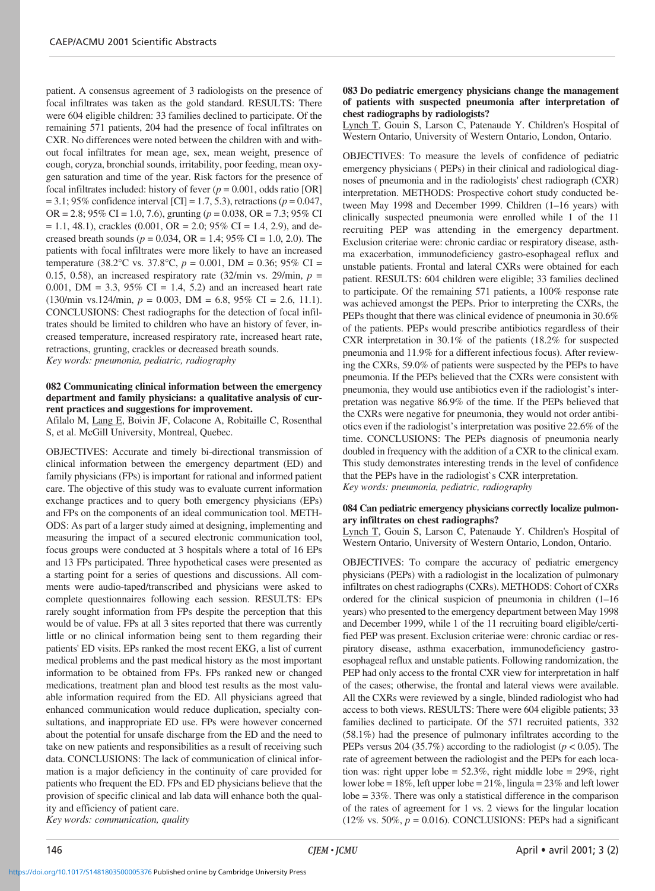patient. A consensus agreement of 3 radiologists on the presence of focal infiltrates was taken as the gold standard. RESULTS: There were 604 eligible children: 33 families declined to participate. Of the remaining 571 patients, 204 had the presence of focal infiltrates on CXR. No differences were noted between the children with and without focal infiltrates for mean age, sex, mean weight, presence of cough, coryza, bronchial sounds, irritability, poor feeding, mean oxygen saturation and time of the year. Risk factors for the presence of focal infiltrates included: history of fever  $(p = 0.001, \text{ odds ratio } [OR]$ = 3.1; 95% confidence interval [CI] = 1.7, 5.3), retractions (*p* = 0.047, OR = 2.8; 95% CI = 1.0, 7.6), grunting (*p* = 0.038, OR = 7.3; 95% CI  $= 1.1, 48.1$ , crackles (0.001, OR  $= 2.0$ ; 95% CI  $= 1.4, 2.9$ ), and decreased breath sounds (*p* = 0.034, OR = 1.4; 95% CI = 1.0, 2.0). The patients with focal infiltrates were more likely to have an increased temperature (38.2°C vs. 37.8°C,  $p = 0.001$ , DM = 0.36; 95% CI = 0.15, 0.58), an increased respiratory rate  $(32/\text{min vs. } 29/\text{min}, p =$ 0.001, DM = 3.3, 95% CI = 1.4, 5.2) and an increased heart rate (130/min vs.124/min, *p* = 0.003, DM = 6.8, 95% CI = 2.6, 11.1). CONCLUSIONS: Chest radiographs for the detection of focal infiltrates should be limited to children who have an history of fever, increased temperature, increased respiratory rate, increased heart rate, retractions, grunting, crackles or decreased breath sounds. *Key words: pneumonia, pediatric, radiography*

# **082 Communicating clinical information between the emergency department and family physicians: a qualitative analysis of current practices and suggestions for improvement.**

Afilalo M, Lang E, Boivin JF, Colacone A, Robitaille C, Rosenthal S, et al. McGill University, Montreal, Quebec.

OBJECTIVES: Accurate and timely bi-directional transmission of clinical information between the emergency department (ED) and family physicians (FPs) is important for rational and informed patient care. The objective of this study was to evaluate current information exchange practices and to query both emergency physicians (EPs) and FPs on the components of an ideal communication tool. METH-ODS: As part of a larger study aimed at designing, implementing and measuring the impact of a secured electronic communication tool, focus groups were conducted at 3 hospitals where a total of 16 EPs and 13 FPs participated. Three hypothetical cases were presented as a starting point for a series of questions and discussions. All comments were audio-taped/transcribed and physicians were asked to complete questionnaires following each session. RESULTS: EPs rarely sought information from FPs despite the perception that this would be of value. FPs at all 3 sites reported that there was currently little or no clinical information being sent to them regarding their patients' ED visits. EPs ranked the most recent EKG, a list of current medical problems and the past medical history as the most important information to be obtained from FPs. FPs ranked new or changed medications, treatment plan and blood test results as the most valuable information required from the ED. All physicians agreed that enhanced communication would reduce duplication, specialty consultations, and inappropriate ED use. FPs were however concerned about the potential for unsafe discharge from the ED and the need to take on new patients and responsibilities as a result of receiving such data. CONCLUSIONS: The lack of communication of clinical information is a major deficiency in the continuity of care provided for patients who frequent the ED. FPs and ED physicians believe that the provision of specific clinical and lab data will enhance both the quality and efficiency of patient care. *Key words: communication, quality*

#### **083 Do pediatric emergency physicians change the management of patients with suspected pneumonia after interpretation of chest radiographs by radiologists?**

Lynch T, Gouin S, Larson C, Patenaude Y. Children's Hospital of Western Ontario, University of Western Ontario, London, Ontario.

OBJECTIVES: To measure the levels of confidence of pediatric emergency physicians ( PEPs) in their clinical and radiological diagnoses of pneumonia and in the radiologists' chest radiograph (CXR) interpretation. METHODS: Prospective cohort study conducted between May 1998 and December 1999. Children (1–16 years) with clinically suspected pneumonia were enrolled while 1 of the 11 recruiting PEP was attending in the emergency department. Exclusion criteriae were: chronic cardiac or respiratory disease, asthma exacerbation, immunodeficiency gastro-esophageal reflux and unstable patients. Frontal and lateral CXRs were obtained for each patient. RESULTS: 604 children were eligible; 33 families declined to participate. Of the remaining 571 patients, a 100% response rate was achieved amongst the PEPs. Prior to interpreting the CXRs, the PEPs thought that there was clinical evidence of pneumonia in 30.6% of the patients. PEPs would prescribe antibiotics regardless of their CXR interpretation in 30.1% of the patients (18.2% for suspected pneumonia and 11.9% for a different infectious focus). After reviewing the CXRs, 59.0% of patients were suspected by the PEPs to have pneumonia. If the PEPs believed that the CXRs were consistent with pneumonia, they would use antibiotics even if the radiologist's interpretation was negative 86.9% of the time. If the PEPs believed that the CXRs were negative for pneumonia, they would not order antibiotics even if the radiologist's interpretation was positive 22.6% of the time. CONCLUSIONS: The PEPs diagnosis of pneumonia nearly doubled in frequency with the addition of a CXR to the clinical exam. This study demonstrates interesting trends in the level of confidence that the PEPs have in the radiologist`s CXR interpretation. *Key words: pneumonia, pediatric, radiography*

# **084 Can pediatric emergency physicians correctly localize pulmonary infiltrates on chest radiographs?**

Lynch T, Gouin S, Larson C, Patenaude Y. Children's Hospital of Western Ontario, University of Western Ontario, London, Ontario.

OBJECTIVES: To compare the accuracy of pediatric emergency physicians (PEPs) with a radiologist in the localization of pulmonary infiltrates on chest radiographs (CXRs). METHODS: Cohort of CXRs ordered for the clinical suspicion of pneumonia in children (1–16 years) who presented to the emergency department between May 1998 and December 1999, while 1 of the 11 recruiting board eligible/certified PEP was present. Exclusion criteriae were: chronic cardiac or respiratory disease, asthma exacerbation, immunodeficiency gastroesophageal reflux and unstable patients. Following randomization, the PEP had only access to the frontal CXR view for interpretation in half of the cases; otherwise, the frontal and lateral views were available. All the CXRs were reviewed by a single, blinded radiologist who had access to both views. RESULTS: There were 604 eligible patients; 33 families declined to participate. Of the 571 recruited patients, 332 (58.1%) had the presence of pulmonary infiltrates according to the PEPs versus 204 (35.7%) according to the radiologist (*p* < 0.05). The rate of agreement between the radiologist and the PEPs for each location was: right upper lobe =  $52.3\%$ , right middle lobe =  $29\%$ , right lower lobe =  $18\%$ , left upper lobe =  $21\%$ , lingula =  $23\%$  and left lower lobe = 33%. There was only a statistical difference in the comparison of the rates of agreement for 1 vs. 2 views for the lingular location (12% vs. 50%,  $p = 0.016$ ). CONCLUSIONS: PEPs had a significant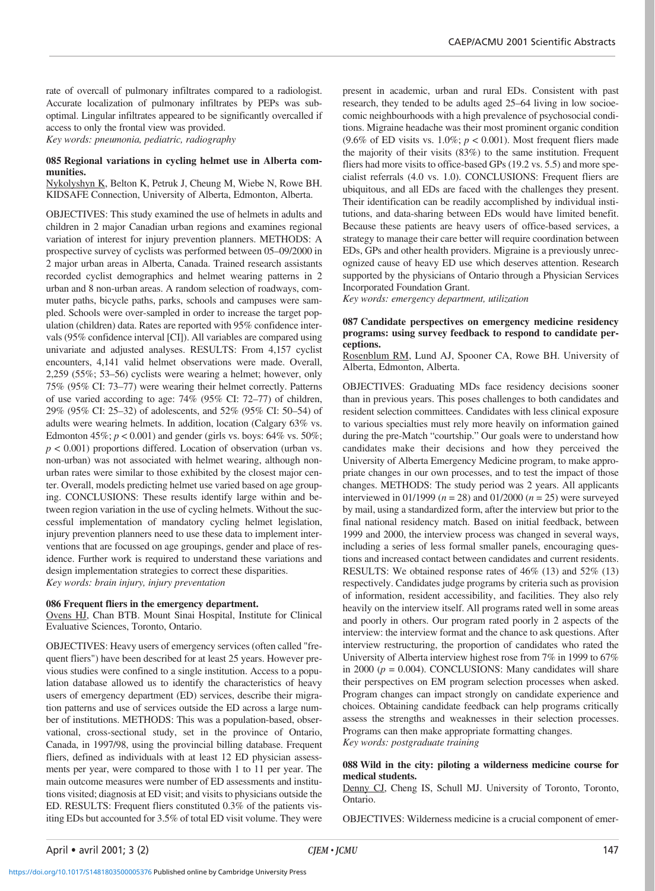rate of overcall of pulmonary infiltrates compared to a radiologist. Accurate localization of pulmonary infiltrates by PEPs was suboptimal. Lingular infiltrates appeared to be significantly overcalled if access to only the frontal view was provided. *Key words: pneumonia, pediatric, radiography*

**085 Regional variations in cycling helmet use in Alberta communities.**

Nykolyshyn K, Belton K, Petruk J, Cheung M, Wiebe N, Rowe BH. KIDSAFE Connection, University of Alberta, Edmonton, Alberta.

OBJECTIVES: This study examined the use of helmets in adults and children in 2 major Canadian urban regions and examines regional variation of interest for injury prevention planners. METHODS: A prospective survey of cyclists was performed between 05–09/2000 in 2 major urban areas in Alberta, Canada. Trained research assistants recorded cyclist demographics and helmet wearing patterns in 2 urban and 8 non-urban areas. A random selection of roadways, commuter paths, bicycle paths, parks, schools and campuses were sampled. Schools were over-sampled in order to increase the target population (children) data. Rates are reported with 95% confidence intervals (95% confidence interval [CI]). All variables are compared using univariate and adjusted analyses. RESULTS: From 4,157 cyclist encounters, 4,141 valid helmet observations were made. Overall, 2,259 (55%; 53–56) cyclists were wearing a helmet; however, only 75% (95% CI: 73–77) were wearing their helmet correctly. Patterns of use varied according to age: 74% (95% CI: 72–77) of children, 29% (95% CI: 25–32) of adolescents, and 52% (95% CI: 50–54) of adults were wearing helmets. In addition, location (Calgary 63% vs. Edmonton 45%;  $p < 0.001$ ) and gender (girls vs. boys: 64% vs. 50%;  $p < 0.001$ ) proportions differed. Location of observation (urban vs. non-urban) was not associated with helmet wearing, although nonurban rates were similar to those exhibited by the closest major center. Overall, models predicting helmet use varied based on age grouping. CONCLUSIONS: These results identify large within and between region variation in the use of cycling helmets. Without the successful implementation of mandatory cycling helmet legislation, injury prevention planners need to use these data to implement interventions that are focussed on age groupings, gender and place of residence. Further work is required to understand these variations and design implementation strategies to correct these disparities. *Key words: brain injury, injury preventation*

#### **086 Frequent fliers in the emergency department.**

Ovens HJ, Chan BTB. Mount Sinai Hospital, Institute for Clinical Evaluative Sciences, Toronto, Ontario.

OBJECTIVES: Heavy users of emergency services (often called "frequent fliers") have been described for at least 25 years. However previous studies were confined to a single institution. Access to a population database allowed us to identify the characteristics of heavy users of emergency department (ED) services, describe their migration patterns and use of services outside the ED across a large number of institutions. METHODS: This was a population-based, observational, cross-sectional study, set in the province of Ontario, Canada, in 1997/98, using the provincial billing database. Frequent fliers, defined as individuals with at least 12 ED physician assessments per year, were compared to those with 1 to 11 per year. The main outcome measures were number of ED assessments and institutions visited; diagnosis at ED visit; and visits to physicians outside the ED. RESULTS: Frequent fliers constituted 0.3% of the patients visiting EDs but accounted for 3.5% of total ED visit volume. They were present in academic, urban and rural EDs. Consistent with past research, they tended to be adults aged 25–64 living in low socioecomic neighbourhoods with a high prevalence of psychosocial conditions. Migraine headache was their most prominent organic condition (9.6% of ED visits vs.  $1.0\%$ ;  $p < 0.001$ ). Most frequent fliers made the majority of their visits (83%) to the same institution. Frequent fliers had more visits to office-based GPs (19.2 vs. 5.5) and more specialist referrals (4.0 vs. 1.0). CONCLUSIONS: Frequent fliers are ubiquitous, and all EDs are faced with the challenges they present. Their identification can be readily accomplished by individual institutions, and data-sharing between EDs would have limited benefit. Because these patients are heavy users of office-based services, a strategy to manage their care better will require coordination between EDs, GPs and other health providers. Migraine is a previously unrecognized cause of heavy ED use which deserves attention. Research supported by the physicians of Ontario through a Physician Services Incorporated Foundation Grant.

*Key words: emergency department, utilization*

# **087 Candidate perspectives on emergency medicine residency programs: using survey feedback to respond to candidate perceptions.**

Rosenblum RM, Lund AJ, Spooner CA, Rowe BH. University of Alberta, Edmonton, Alberta.

OBJECTIVES: Graduating MDs face residency decisions sooner than in previous years. This poses challenges to both candidates and resident selection committees. Candidates with less clinical exposure to various specialties must rely more heavily on information gained during the pre-Match "courtship." Our goals were to understand how candidates make their decisions and how they perceived the University of Alberta Emergency Medicine program, to make appropriate changes in our own processes, and to test the impact of those changes. METHODS: The study period was 2 years. All applicants interviewed in 01/1999 ( $n = 28$ ) and 01/2000 ( $n = 25$ ) were surveyed by mail, using a standardized form, after the interview but prior to the final national residency match. Based on initial feedback, between 1999 and 2000, the interview process was changed in several ways, including a series of less formal smaller panels, encouraging questions and increased contact between candidates and current residents. RESULTS: We obtained response rates of 46% (13) and 52% (13) respectively. Candidates judge programs by criteria such as provision of information, resident accessibility, and facilities. They also rely heavily on the interview itself. All programs rated well in some areas and poorly in others. Our program rated poorly in 2 aspects of the interview: the interview format and the chance to ask questions. After interview restructuring, the proportion of candidates who rated the University of Alberta interview highest rose from 7% in 1999 to 67% in 2000  $(p = 0.004)$ . CONCLUSIONS: Many candidates will share their perspectives on EM program selection processes when asked. Program changes can impact strongly on candidate experience and choices. Obtaining candidate feedback can help programs critically assess the strengths and weaknesses in their selection processes. Programs can then make appropriate formatting changes. *Key words: postgraduate training*

**088 Wild in the city: piloting a wilderness medicine course for medical students.**

Denny CJ, Cheng IS, Schull MJ. University of Toronto, Toronto, Ontario.

OBJECTIVES: Wilderness medicine is a crucial component of emer-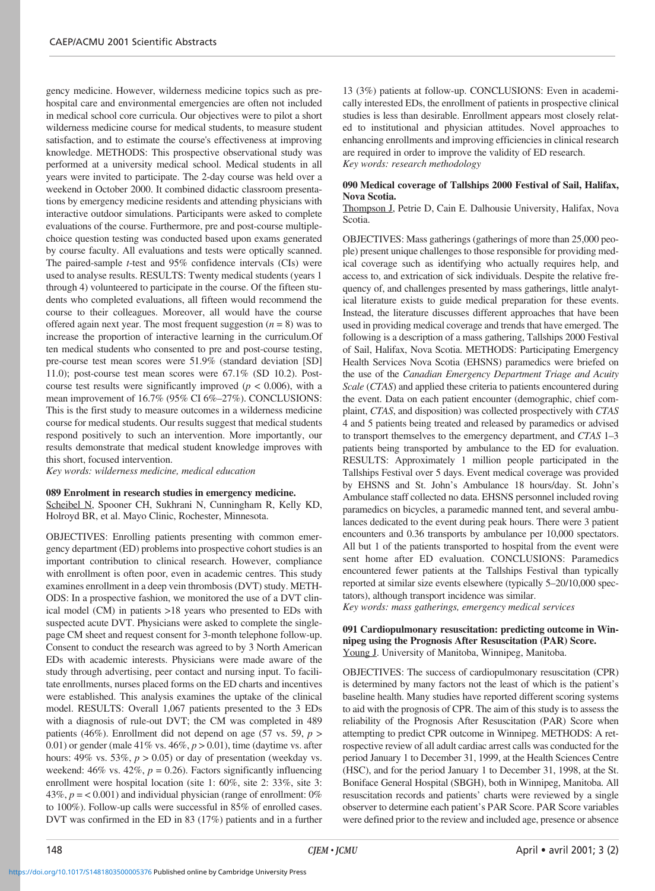gency medicine. However, wilderness medicine topics such as prehospital care and environmental emergencies are often not included in medical school core curricula. Our objectives were to pilot a short wilderness medicine course for medical students, to measure student satisfaction, and to estimate the course's effectiveness at improving knowledge. METHODS: This prospective observational study was performed at a university medical school. Medical students in all years were invited to participate. The 2-day course was held over a weekend in October 2000. It combined didactic classroom presentations by emergency medicine residents and attending physicians with interactive outdoor simulations. Participants were asked to complete evaluations of the course. Furthermore, pre and post-course multiplechoice question testing was conducted based upon exams generated by course faculty. All evaluations and tests were optically scanned. The paired-sample *t*-test and 95% confidence intervals (CIs) were used to analyse results. RESULTS: Twenty medical students (years 1 through 4) volunteered to participate in the course. Of the fifteen students who completed evaluations, all fifteen would recommend the course to their colleagues. Moreover, all would have the course offered again next year. The most frequent suggestion  $(n = 8)$  was to increase the proportion of interactive learning in the curriculum.Of ten medical students who consented to pre and post-course testing, pre-course test mean scores were 51.9% (standard deviation [SD] 11.0); post-course test mean scores were 67.1% (SD 10.2). Postcourse test results were significantly improved ( $p < 0.006$ ), with a mean improvement of 16.7% (95% CI 6%–27%). CONCLUSIONS: This is the first study to measure outcomes in a wilderness medicine course for medical students. Our results suggest that medical students respond positively to such an intervention. More importantly, our results demonstrate that medical student knowledge improves with this short, focused intervention.

*Key words: wilderness medicine, medical education*

#### **089 Enrolment in research studies in emergency medicine.**

Scheibel N, Spooner CH, Sukhrani N, Cunningham R, Kelly KD, Holroyd BR, et al. Mayo Clinic, Rochester, Minnesota.

OBJECTIVES: Enrolling patients presenting with common emergency department (ED) problems into prospective cohort studies is an important contribution to clinical research. However, compliance with enrollment is often poor, even in academic centres. This study examines enrollment in a deep vein thrombosis (DVT) study. METH-ODS: In a prospective fashion, we monitored the use of a DVT clinical model (CM) in patients >18 years who presented to EDs with suspected acute DVT. Physicians were asked to complete the singlepage CM sheet and request consent for 3-month telephone follow-up. Consent to conduct the research was agreed to by 3 North American EDs with academic interests. Physicians were made aware of the study through advertising, peer contact and nursing input. To facilitate enrollments, nurses placed forms on the ED charts and incentives were established. This analysis examines the uptake of the clinical model. RESULTS: Overall 1,067 patients presented to the 3 EDs with a diagnosis of rule-out DVT; the CM was completed in 489 patients (46%). Enrollment did not depend on age (57 vs. 59,  $p >$ 0.01) or gender (male 41% vs.  $46\%, p > 0.01$ ), time (daytime vs. after hours: 49% vs. 53%,  $p > 0.05$ ) or day of presentation (weekday vs. weekend:  $46\%$  vs.  $42\%, p = 0.26$ ). Factors significantly influencing enrollment were hospital location (site 1: 60%, site 2: 33%, site 3: 43%,  $p = 0.001$ ) and individual physician (range of enrollment: 0%) to 100%). Follow-up calls were successful in 85% of enrolled cases. DVT was confirmed in the ED in 83 (17%) patients and in a further 13 (3%) patients at follow-up. CONCLUSIONS: Even in academically interested EDs, the enrollment of patients in prospective clinical studies is less than desirable. Enrollment appears most closely related to institutional and physician attitudes. Novel approaches to enhancing enrollments and improving efficiencies in clinical research are required in order to improve the validity of ED research. *Key words: research methodology*

# **090 Medical coverage of Tallships 2000 Festival of Sail, Halifax, Nova Scotia.**

Thompson J, Petrie D, Cain E. Dalhousie University, Halifax, Nova Scotia.

OBJECTIVES: Mass gatherings (gatherings of more than 25,000 people) present unique challenges to those responsible for providing medical coverage such as identifying who actually requires help, and access to, and extrication of sick individuals. Despite the relative frequency of, and challenges presented by mass gatherings, little analytical literature exists to guide medical preparation for these events. Instead, the literature discusses different approaches that have been used in providing medical coverage and trends that have emerged. The following is a description of a mass gathering, Tallships 2000 Festival of Sail, Halifax, Nova Scotia. METHODS: Participating Emergency Health Services Nova Scotia (EHSNS) paramedics were briefed on the use of the *Canadian Emergency Department Triage and Acuity Scale* (*CTAS*) and applied these criteria to patients encountered during the event. Data on each patient encounter (demographic, chief complaint, *CTAS*, and disposition) was collected prospectively with *CTAS* 4 and 5 patients being treated and released by paramedics or advised to transport themselves to the emergency department, and *CTAS* 1–3 patients being transported by ambulance to the ED for evaluation. RESULTS: Approximately 1 million people participated in the Tallships Festival over 5 days. Event medical coverage was provided by EHSNS and St. John's Ambulance 18 hours/day. St. John's Ambulance staff collected no data. EHSNS personnel included roving paramedics on bicycles, a paramedic manned tent, and several ambulances dedicated to the event during peak hours. There were 3 patient encounters and 0.36 transports by ambulance per 10,000 spectators. All but 1 of the patients transported to hospital from the event were sent home after ED evaluation. CONCLUSIONS: Paramedics encountered fewer patients at the Tallships Festival than typically reported at similar size events elsewhere (typically 5–20/10,000 spectators), although transport incidence was similar.

*Key words: mass gatherings, emergency medical services*

# **091 Cardiopulmonary resuscitation: predicting outcome in Winnipeg using the Prognosis After Resuscitation (PAR) Score.** Young J. University of Manitoba, Winnipeg, Manitoba.

OBJECTIVES: The success of cardiopulmonary resuscitation (CPR) is determined by many factors not the least of which is the patient's baseline health. Many studies have reported different scoring systems to aid with the prognosis of CPR. The aim of this study is to assess the reliability of the Prognosis After Resuscitation (PAR) Score when attempting to predict CPR outcome in Winnipeg. METHODS: A retrospective review of all adult cardiac arrest calls was conducted for the period January 1 to December 31, 1999, at the Health Sciences Centre (HSC), and for the period January 1 to December 31, 1998, at the St. Boniface General Hospital (SBGH), both in Winnipeg, Manitoba. All resuscitation records and patients' charts were reviewed by a single observer to determine each patient's PAR Score. PAR Score variables were defined prior to the review and included age, presence or absence